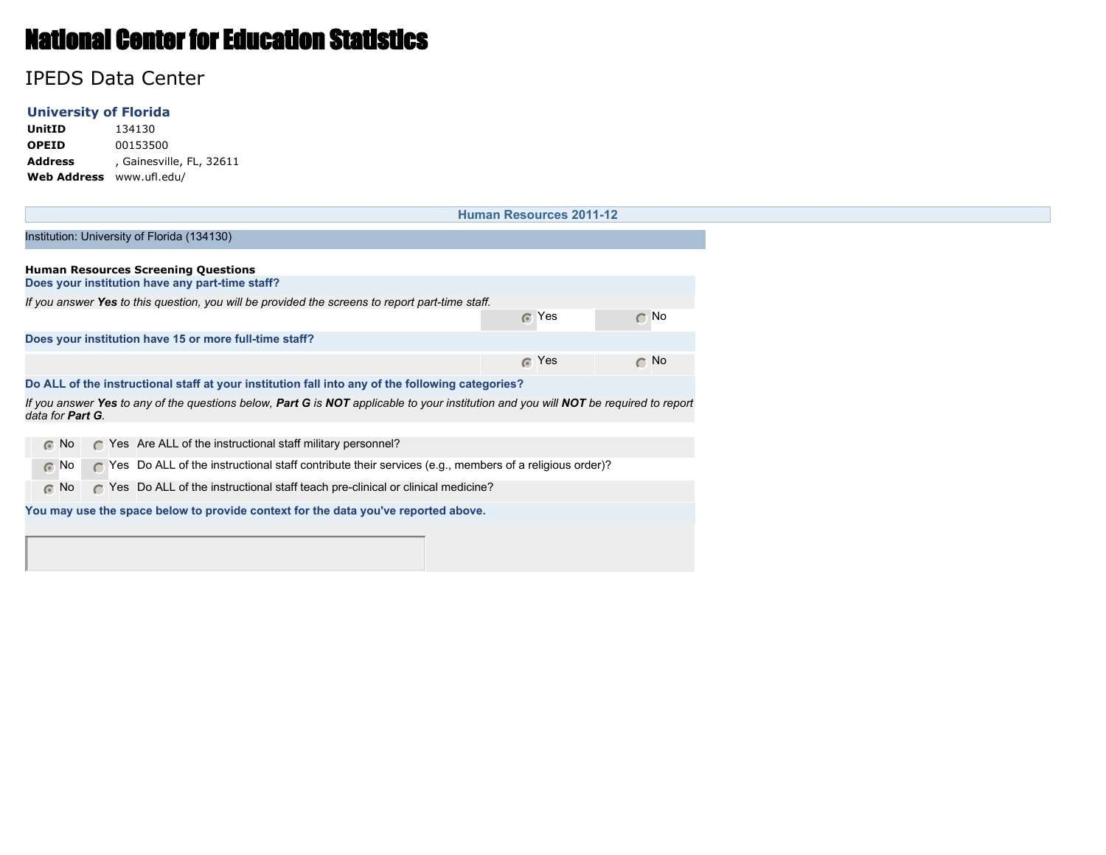# National Center for Education Statistics

## IPEDS Data Center

### **University of Florida**

**UnitID** 134130 **OPEID** 00153500 **Address** , Gainesville, FL, 32611 **Web Address** www.ufl.edu/

|                  |                                                                                                 |           |  |  |  |                                                                                                       |  |  |  |  |  |  | <b>Human Resources 2011-12</b> |  |                                                                                                                                      |
|------------------|-------------------------------------------------------------------------------------------------|-----------|--|--|--|-------------------------------------------------------------------------------------------------------|--|--|--|--|--|--|--------------------------------|--|--------------------------------------------------------------------------------------------------------------------------------------|
|                  |                                                                                                 |           |  |  |  | Institution: University of Florida (134130)                                                           |  |  |  |  |  |  |                                |  |                                                                                                                                      |
|                  |                                                                                                 |           |  |  |  |                                                                                                       |  |  |  |  |  |  |                                |  |                                                                                                                                      |
|                  |                                                                                                 |           |  |  |  | <b>Human Resources Screening Questions</b><br>Does your institution have any part-time staff?         |  |  |  |  |  |  |                                |  |                                                                                                                                      |
|                  | If you answer Yes to this question, you will be provided the screens to report part-time staff. |           |  |  |  |                                                                                                       |  |  |  |  |  |  |                                |  |                                                                                                                                      |
|                  |                                                                                                 |           |  |  |  |                                                                                                       |  |  |  |  |  |  | $\odot$ Yes                    |  | $\cap$ No                                                                                                                            |
|                  | Does your institution have 15 or more full-time staff?                                          |           |  |  |  |                                                                                                       |  |  |  |  |  |  |                                |  |                                                                                                                                      |
|                  |                                                                                                 |           |  |  |  |                                                                                                       |  |  |  |  |  |  | <b>6</b> Yes                   |  | $\cap$ No                                                                                                                            |
|                  |                                                                                                 |           |  |  |  | Do ALL of the instructional staff at your institution fall into any of the following categories?      |  |  |  |  |  |  |                                |  |                                                                                                                                      |
|                  |                                                                                                 |           |  |  |  |                                                                                                       |  |  |  |  |  |  |                                |  | If you answer Yes to any of the questions below, Part G is NOT applicable to your institution and you will NOT be required to report |
| data for Part G. |                                                                                                 |           |  |  |  |                                                                                                       |  |  |  |  |  |  |                                |  |                                                                                                                                      |
|                  | $\odot$ No                                                                                      | $\subset$ |  |  |  | Yes Are ALL of the instructional staff military personnel?                                            |  |  |  |  |  |  |                                |  |                                                                                                                                      |
|                  | $\odot$ No                                                                                      | $\subset$ |  |  |  | Yes Do ALL of the instructional staff contribute their services (e.g., members of a religious order)? |  |  |  |  |  |  |                                |  |                                                                                                                                      |
|                  | $\odot$ No                                                                                      | $\subset$ |  |  |  | Yes Do ALL of the instructional staff teach pre-clinical or clinical medicine?                        |  |  |  |  |  |  |                                |  |                                                                                                                                      |
|                  |                                                                                                 |           |  |  |  | You may use the space below to provide context for the data you've reported above.                    |  |  |  |  |  |  |                                |  |                                                                                                                                      |
|                  |                                                                                                 |           |  |  |  |                                                                                                       |  |  |  |  |  |  |                                |  |                                                                                                                                      |
|                  |                                                                                                 |           |  |  |  |                                                                                                       |  |  |  |  |  |  |                                |  |                                                                                                                                      |
|                  |                                                                                                 |           |  |  |  |                                                                                                       |  |  |  |  |  |  |                                |  |                                                                                                                                      |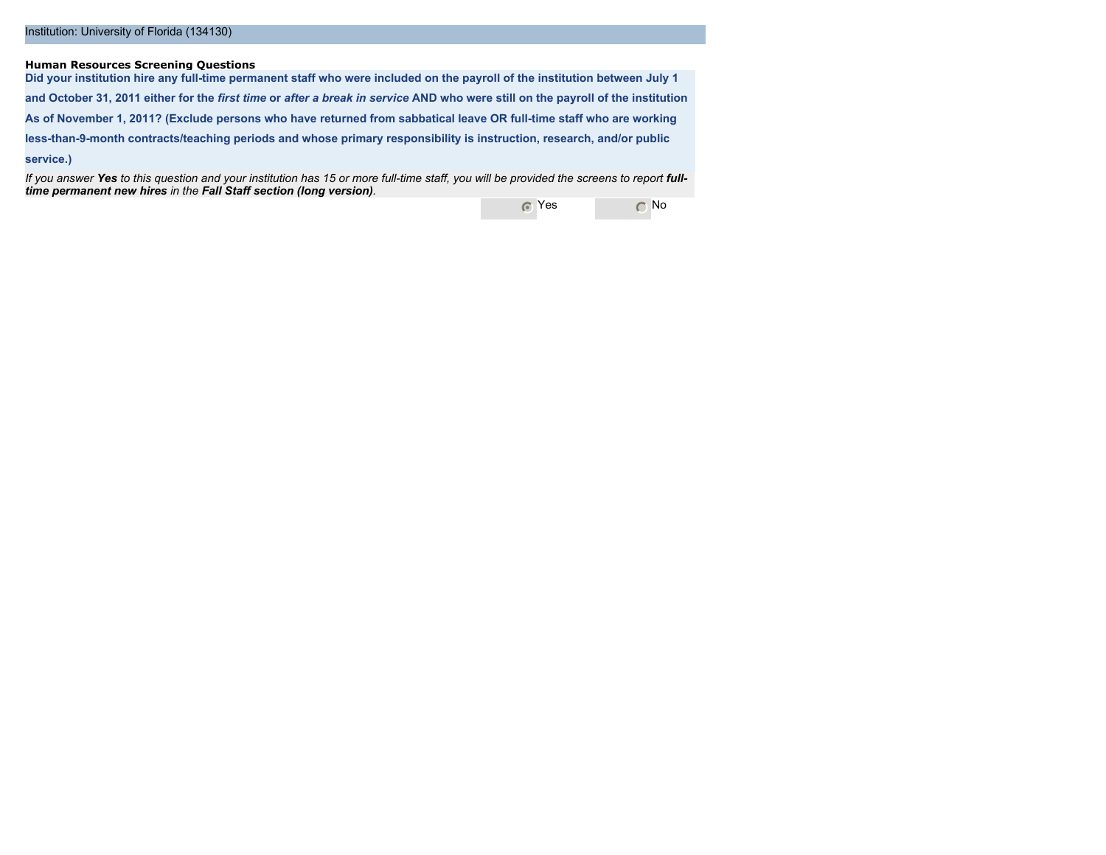#### **Human Resources Screening Questions**

**Did your institution hire any full-time permanent staff who were included on the payroll of the institution between July 1 and October 31, 2011 either for the** *first time* **or** *after a break in service* **AND who were still on the payroll of the institution As of November 1, 2011? (Exclude persons who have returned from sabbatical leave OR full-time staff who are working less-than-9-month contracts/teaching periods and whose primary responsibility is instruction, research, and/or public service.)**

*If you answer Yes to this question and your institution has 15 or more full-time staff, you will be provided the screens to report fulltime permanent new hires in the Fall Staff section (long version).*

**C** Yes C No.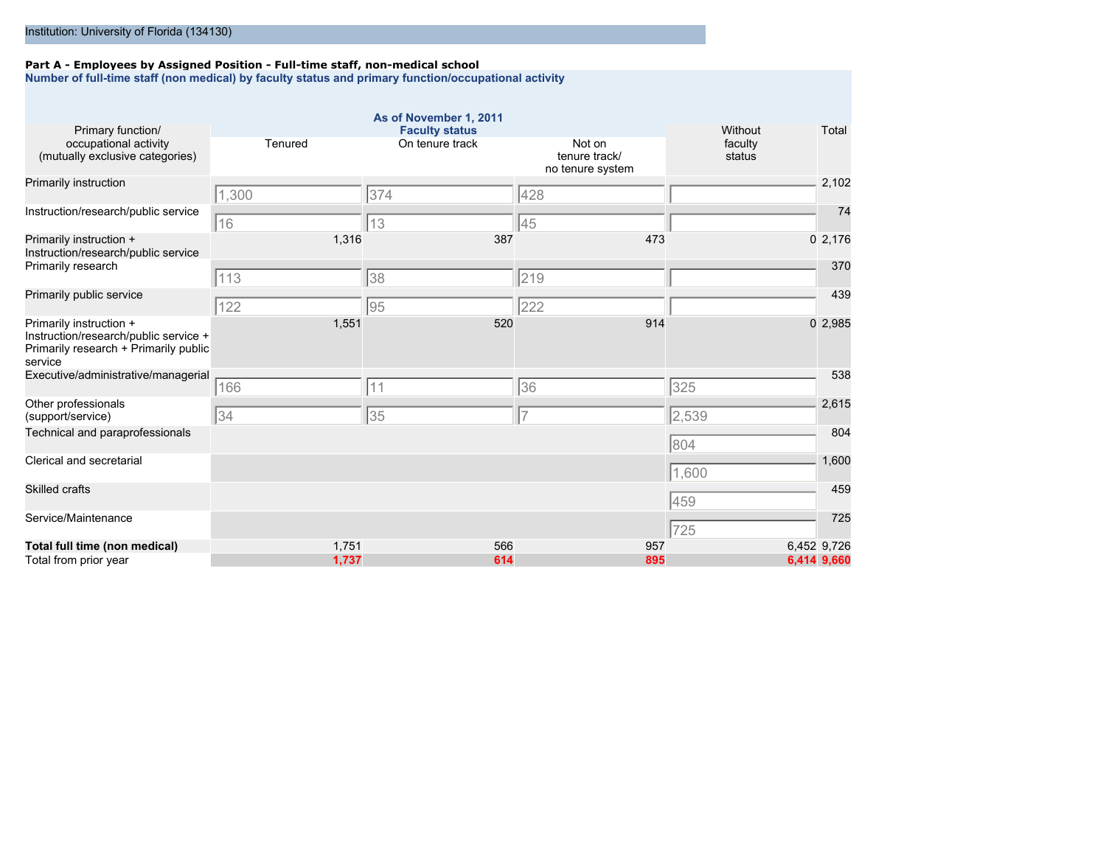#### **Part A - Employees by Assigned Position - Full-time staff, non-medical school**

**Number of full-time staff (non medical) by faculty status and primary function/occupational activity**

|                                                                                                                      |         | As of November 1, 2011                   |                                   |                   |             |
|----------------------------------------------------------------------------------------------------------------------|---------|------------------------------------------|-----------------------------------|-------------------|-------------|
| Primary function/                                                                                                    | Tenured | <b>Faculty status</b><br>On tenure track | Not on                            | Without           | Total       |
| occupational activity<br>(mutually exclusive categories)                                                             |         |                                          | tenure track/<br>no tenure system | faculty<br>status |             |
| Primarily instruction                                                                                                | 1,300   | 374                                      | 428                               |                   | 2,102       |
| Instruction/research/public service                                                                                  | 16      | 13                                       | 45                                |                   | 74          |
| Primarily instruction +<br>Instruction/research/public service                                                       | 1,316   | 387                                      | 473                               |                   | 02,176      |
| Primarily research                                                                                                   | 113     | 38                                       | 219                               |                   | 370         |
| Primarily public service                                                                                             | 122     | 95                                       | 222                               |                   | 439         |
| Primarily instruction +<br>Instruction/research/public service +<br>Primarily research + Primarily public<br>service | 1,551   | 520                                      | 914                               |                   | 02,985      |
| Executive/administrative/managerial                                                                                  | 166     | 11                                       | 36                                | 325               | 538         |
| Other professionals<br>(support/service)                                                                             | 34      | 35                                       | 7                                 | 2,539             | 2,615       |
| Technical and paraprofessionals                                                                                      |         |                                          |                                   | 804               | 804         |
| Clerical and secretarial                                                                                             |         |                                          |                                   | 1,600             | 1,600       |
| <b>Skilled crafts</b>                                                                                                |         |                                          |                                   | 459               | 459         |
| Service/Maintenance                                                                                                  |         |                                          |                                   | 725               | 725         |
| Total full time (non medical)                                                                                        | 1,751   | 566                                      | 957                               |                   | 6,452 9,726 |
| Total from prior year                                                                                                | 1,737   | 614                                      | 895                               |                   | 6,414 9,660 |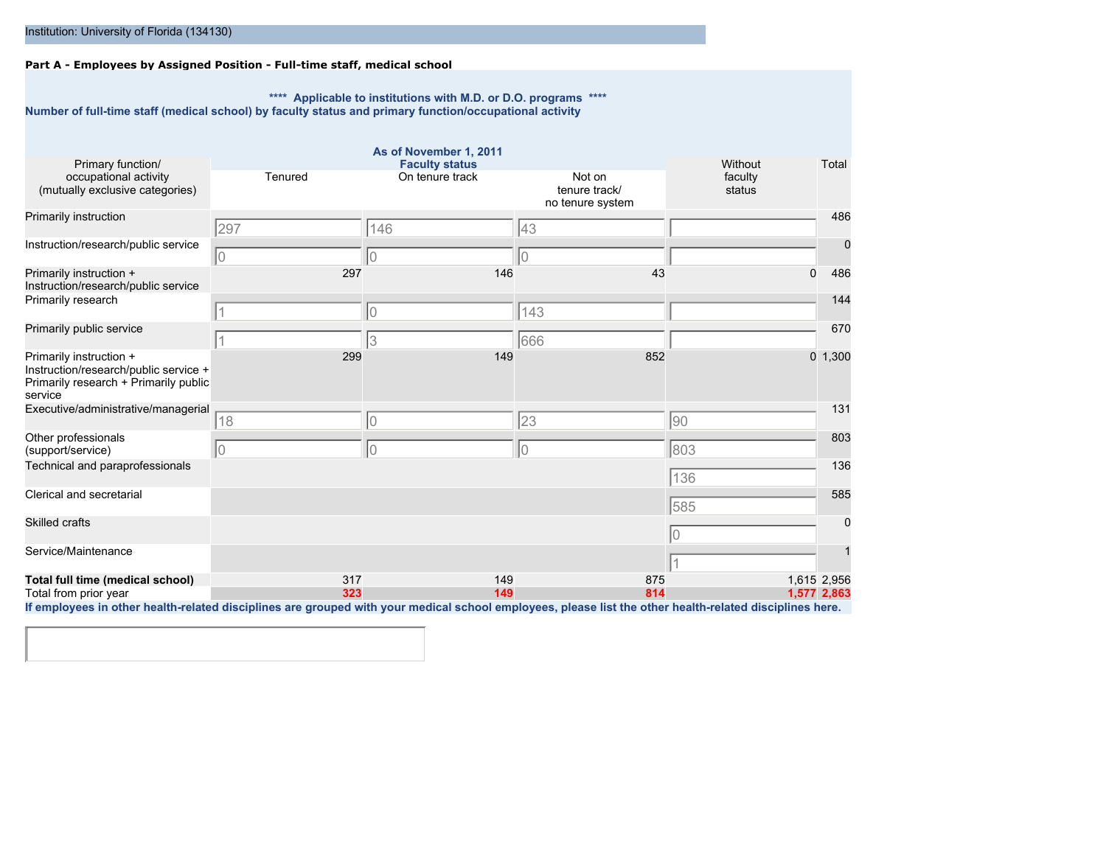### **Part A - Employees by Assigned Position - Full-time staff, medical school**

**\*\*\*\* Applicable to institutions with M.D. or D.O. programs \*\*\*\* Number of full-time staff (medical school) by faculty status and primary function/occupational activity**

|                                                                                                                      |             | As of November 1, 2011                   |                                   |                    |                 |
|----------------------------------------------------------------------------------------------------------------------|-------------|------------------------------------------|-----------------------------------|--------------------|-----------------|
| Primary function/<br>occupational activity                                                                           | Tenured     | <b>Faculty status</b><br>On tenure track | Not on                            | Without<br>faculty | Total           |
| (mutually exclusive categories)                                                                                      |             |                                          | tenure track/<br>no tenure system | status             |                 |
| Primarily instruction                                                                                                | 297         | 146                                      | 43                                |                    | 486             |
| Instruction/research/public service                                                                                  | $ 0\rangle$ | 10                                       | IО                                |                    | 0               |
| Primarily instruction +<br>Instruction/research/public service                                                       | 297         | 146                                      | 43                                |                    | 486<br>$\Omega$ |
| Primarily research                                                                                                   |             | IО                                       | 143                               |                    | 144             |
| Primarily public service                                                                                             |             | 13                                       | 666                               |                    | 670             |
| Primarily instruction +<br>Instruction/research/public service +<br>Primarily research + Primarily public<br>service | 299         | 149                                      | 852                               |                    | 1,300<br>0      |
| Executive/administrative/managerial                                                                                  | 18          | 10                                       | 23                                | 90                 | 131             |
| Other professionals<br>(support/service)                                                                             | 10          | 10                                       | 10                                | 803                | 803             |
| Technical and paraprofessionals                                                                                      |             |                                          |                                   | 136                | 136             |
| Clerical and secretarial                                                                                             |             |                                          |                                   | 585                | 585             |
| Skilled crafts                                                                                                       |             |                                          |                                   | 10                 | 0               |
| Service/Maintenance                                                                                                  |             |                                          |                                   |                    | 1               |
| Total full time (medical school)                                                                                     | 317         | 149                                      | 875                               |                    | 1,615 2,956     |
| Total from prior year<br>the contract of the contract of the con-                                                    | 323         | 149                                      | 814                               |                    | 1,577 2,863     |
|                                                                                                                      |             |                                          |                                   |                    |                 |

**If employees in other health-related disciplines are grouped with your medical school employees, please list the other health-related disciplines here.**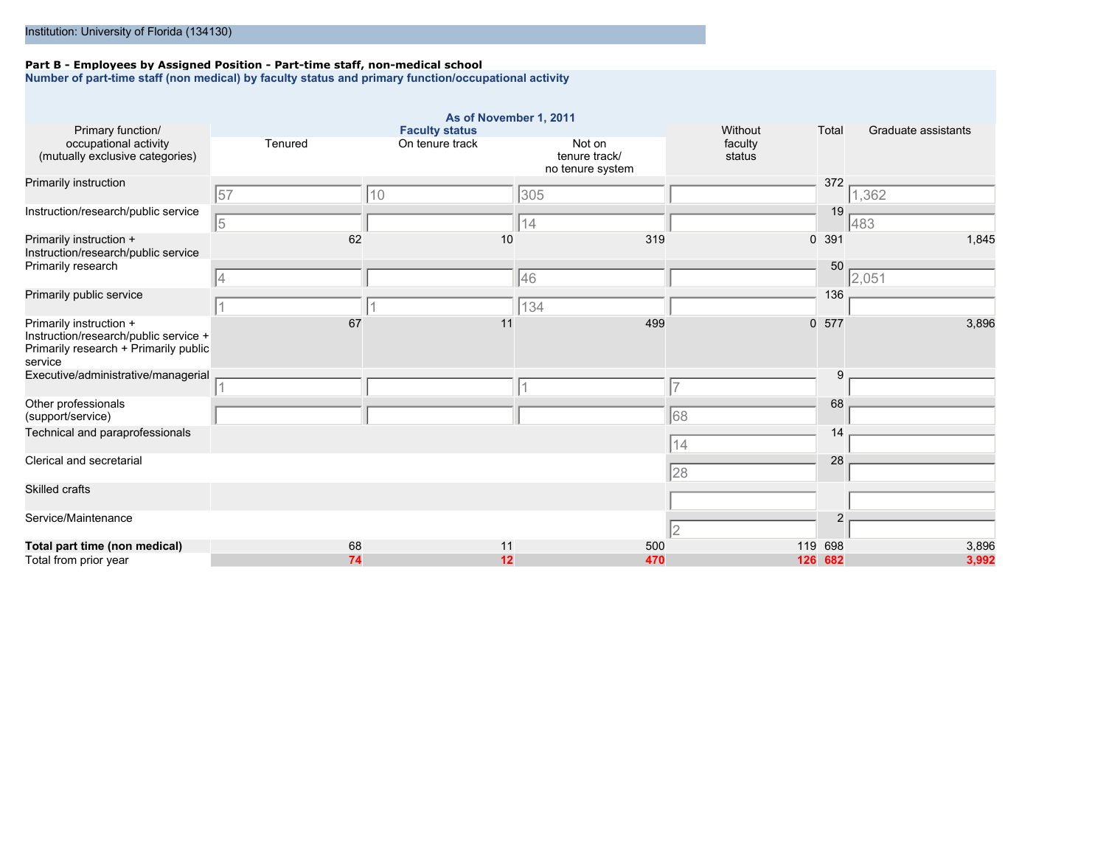#### **Part B - Employees by Assigned Position - Part-time staff, non-medical school**

**Number of part-time staff (non medical) by faculty status and primary function/occupational activity**

| Primary function/                                                                                                    |            | As of November 1, 2011<br><b>Faculty status</b> |                                             | Without           | Total          | Graduate assistants |
|----------------------------------------------------------------------------------------------------------------------|------------|-------------------------------------------------|---------------------------------------------|-------------------|----------------|---------------------|
| occupational activity<br>(mutually exclusive categories)                                                             | Tenured    | On tenure track                                 | Not on<br>tenure track/<br>no tenure system | faculty<br>status |                |                     |
| Primarily instruction                                                                                                | 57         | 10                                              | 305                                         |                   | 372            | 1,362               |
| Instruction/research/public service                                                                                  | $\sqrt{5}$ |                                                 | 14                                          |                   | 19             | 483                 |
| Primarily instruction +<br>Instruction/research/public service                                                       | 62         | 10                                              | 319                                         | $\overline{0}$    | 391            | 1,845               |
| Primarily research                                                                                                   | 4          |                                                 | 46                                          |                   | 50             | 2,051               |
| Primarily public service                                                                                             |            |                                                 | 134                                         |                   | 136            |                     |
| Primarily instruction +<br>Instruction/research/public service +<br>Primarily research + Primarily public<br>service | 67         | 11                                              | 499                                         | $\mathbf{0}$      | 577            | 3,896               |
| Executive/administrative/managerial                                                                                  |            |                                                 |                                             |                   | 9              |                     |
| Other professionals<br>(support/service)                                                                             |            |                                                 |                                             | 68                | 68             |                     |
| Technical and paraprofessionals                                                                                      |            |                                                 |                                             | 14                | 14             |                     |
| Clerical and secretarial                                                                                             |            |                                                 |                                             | 28                | 28             |                     |
| <b>Skilled crafts</b>                                                                                                |            |                                                 |                                             |                   |                |                     |
| Service/Maintenance                                                                                                  |            |                                                 |                                             | 2                 | $\overline{2}$ |                     |
| Total part time (non medical)                                                                                        | 68         | 11                                              | 500                                         |                   | 119 698        | 3,896               |
| Total from prior year                                                                                                | 74         | 12                                              | 470                                         | 126               | 682            | 3,992               |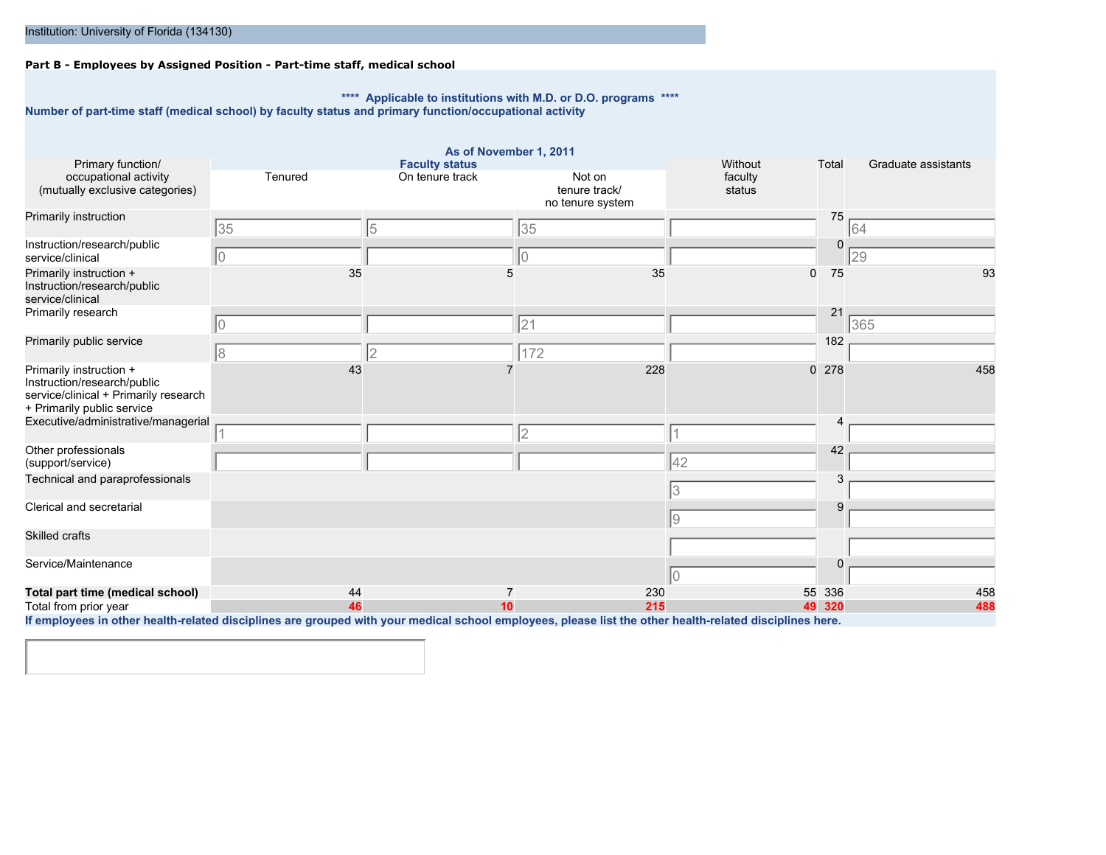### **Part B - Employees by Assigned Position - Part-time staff, medical school**

**\*\*\*\* Applicable to institutions with M.D. or D.O. programs \*\*\*\***

**Number of part-time staff (medical school) by faculty status and primary function/occupational activity**

|                                                                                                                                                                                                                     |          | As of November 1, 2011                   |                                             |                              |            |                     |
|---------------------------------------------------------------------------------------------------------------------------------------------------------------------------------------------------------------------|----------|------------------------------------------|---------------------------------------------|------------------------------|------------|---------------------|
| Primary function/<br>occupational activity<br>(mutually exclusive categories)                                                                                                                                       | Tenured  | <b>Faculty status</b><br>On tenure track | Not on<br>tenure track/<br>no tenure system | Without<br>faculty<br>status | Total      | Graduate assistants |
| Primarily instruction                                                                                                                                                                                               | 35       | 15                                       | 35                                          |                              | 75         | 64                  |
| Instruction/research/public<br>service/clinical                                                                                                                                                                     | 10       |                                          | 10                                          |                              | $\Omega$   | 29                  |
| Primarily instruction +<br>Instruction/research/public<br>service/clinical                                                                                                                                          | 35       | 5                                        | 35                                          | 0                            | 75         | 93                  |
| Primarily research                                                                                                                                                                                                  | O        |                                          | 21                                          |                              | 21         | 365                 |
| Primarily public service                                                                                                                                                                                            | l8       | 2                                        | 172                                         |                              | 182        |                     |
| Primarily instruction +<br>Instruction/research/public<br>service/clinical + Primarily research<br>+ Primarily public service                                                                                       | 43       |                                          | 228                                         |                              | 0.278      | 458                 |
| Executive/administrative/managerial                                                                                                                                                                                 |          |                                          | 2                                           |                              | Δ          |                     |
| Other professionals<br>(support/service)                                                                                                                                                                            |          |                                          |                                             | 42                           | 42<br>3    |                     |
| Technical and paraprofessionals                                                                                                                                                                                     |          |                                          |                                             | 3                            |            |                     |
| Clerical and secretarial                                                                                                                                                                                            |          |                                          |                                             | 9                            | 9          |                     |
| Skilled crafts                                                                                                                                                                                                      |          |                                          |                                             |                              |            |                     |
| Service/Maintenance                                                                                                                                                                                                 |          |                                          |                                             |                              | $\Omega$   |                     |
| Total part time (medical school)<br>Total from prior year<br>If ampleusee in other health related disciplines are arouned with your medical school employees, please list the other health related disciplines here | 44<br>46 | 10                                       | 230<br>215                                  | 55<br>49                     | 336<br>320 | 458<br>488          |

**If employees in other health-related disciplines are grouped with your medical school employees, please list the other health-related disciplines here.**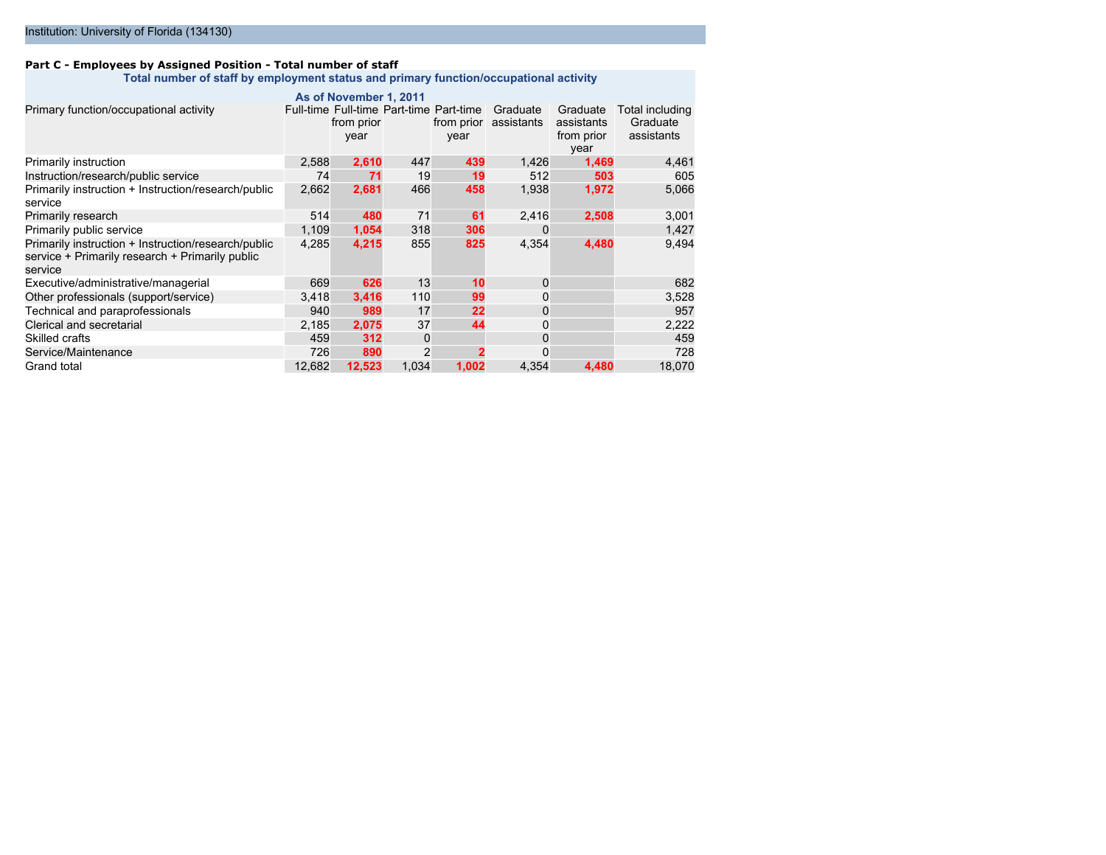#### **Part C - Employees by Assigned Position - Total number of staff**

**Total number of staff by employment status and primary function/occupational activity**

|                                                                                                                   |        | As of November 1, 2011                                        |       |                    |                        |                                              |                                           |
|-------------------------------------------------------------------------------------------------------------------|--------|---------------------------------------------------------------|-------|--------------------|------------------------|----------------------------------------------|-------------------------------------------|
| Primary function/occupational activity                                                                            |        | Full-time Full-time Part-time Part-time<br>from prior<br>year |       | from prior<br>year | Graduate<br>assistants | Graduate<br>assistants<br>from prior<br>year | Total including<br>Graduate<br>assistants |
| Primarily instruction                                                                                             | 2,588  | 2,610                                                         | 447   | 439                | 1,426                  | 1,469                                        | 4,461                                     |
| Instruction/research/public service                                                                               | 74     | 71                                                            | 19    | 19                 | 512                    | 503                                          | 605                                       |
| Primarily instruction + Instruction/research/public<br>service                                                    | 2,662  | 2,681                                                         | 466   | 458                | 1,938                  | 1,972                                        | 5,066                                     |
| Primarily research                                                                                                | 514    | 480                                                           | 71    | 61                 | 2,416                  | 2,508                                        | 3,001                                     |
| Primarily public service                                                                                          | 1.109  | 1,054                                                         | 318   | 306                | $\Omega$               |                                              | 1,427                                     |
| Primarily instruction + Instruction/research/public<br>service + Primarily research + Primarily public<br>service | 4,285  | 4,215                                                         | 855   | 825                | 4,354                  | 4,480                                        | 9,494                                     |
| Executive/administrative/managerial                                                                               | 669    | 626                                                           | 13    | 10                 | $\mathbf 0$            |                                              | 682                                       |
| Other professionals (support/service)                                                                             | 3.418  | 3,416                                                         | 110   | 99                 | $\mathbf 0$            |                                              | 3,528                                     |
| Technical and paraprofessionals                                                                                   | 940    | 989                                                           | 17    | 22                 | $\mathbf 0$            |                                              | 957                                       |
| Clerical and secretarial                                                                                          | 2,185  | 2,075                                                         | 37    | 44                 | $\mathbf 0$            |                                              | 2,222                                     |
| Skilled crafts                                                                                                    | 459    | 312                                                           | 0     |                    | $\Omega$               |                                              | 459                                       |
| Service/Maintenance                                                                                               | 726    | 890                                                           | 2     |                    | $\Omega$               |                                              | 728                                       |
| Grand total                                                                                                       | 12,682 | 12,523                                                        | 1,034 | 1,002              | 4,354                  | 4,480                                        | 18,070                                    |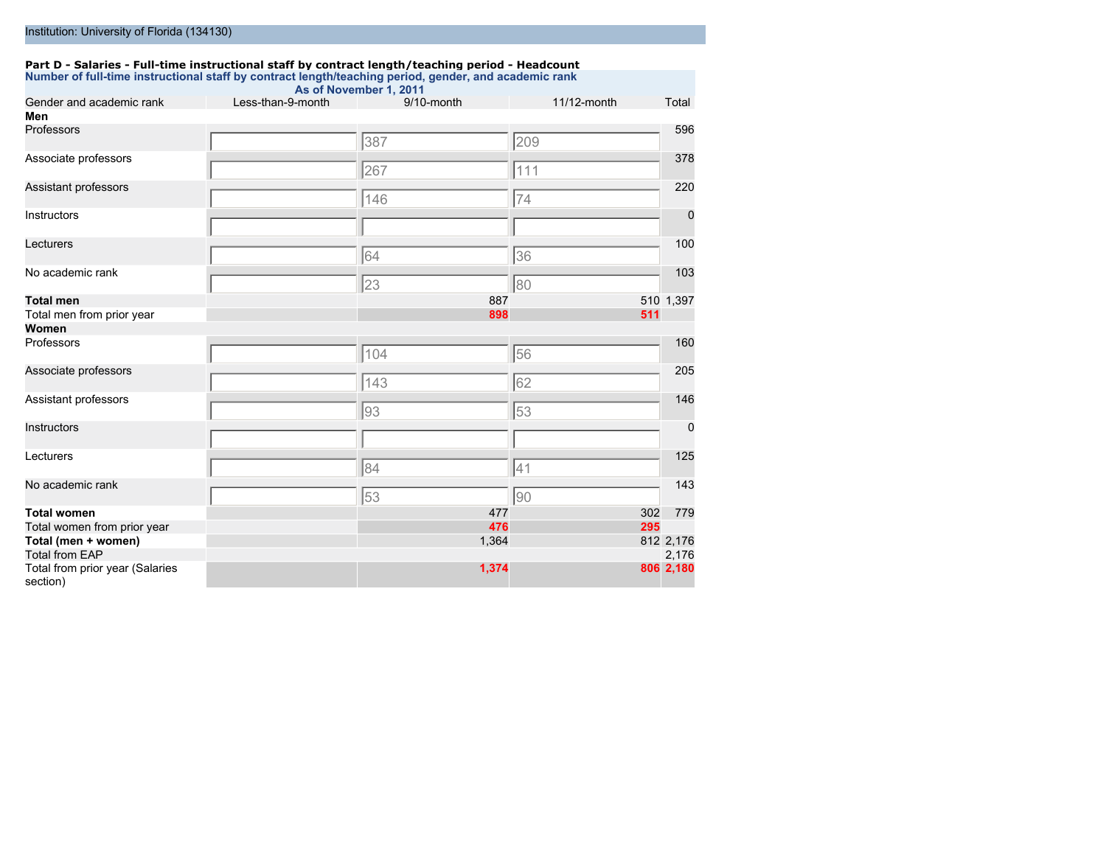#### **Part D - Salaries - Full-time instructional staff by contract length/teaching period - Headcount Number of full-time instructional staff by contract length/teaching period, gender, and academic rank**

| Gender and academic rank                    | Less-than-9-month | As of November 1, 2011<br>9/10-month | 11/12-month | Total       |
|---------------------------------------------|-------------------|--------------------------------------|-------------|-------------|
| Men                                         |                   |                                      |             |             |
| Professors                                  |                   | 387                                  | 209         | 596         |
| Associate professors                        |                   | 267                                  | 111         | 378         |
| Assistant professors                        |                   | 146                                  | 74          | 220         |
| Instructors                                 |                   |                                      |             | 0           |
| Lecturers                                   |                   | 64                                   | 36          | 100         |
| No academic rank                            |                   | 23                                   | 80          | 103         |
| <b>Total men</b>                            |                   | 887                                  |             | 510 1,397   |
| Total men from prior year                   |                   | 898                                  |             | 511         |
| Women                                       |                   |                                      |             |             |
| Professors                                  |                   | 104                                  | 56          | 160         |
| Associate professors                        |                   | 143                                  | 62          | 205         |
| Assistant professors                        |                   | 93                                   | 53          | 146         |
| Instructors                                 |                   |                                      |             | $\mathbf 0$ |
| Lecturers                                   |                   | 84                                   | 41          | 125         |
| No academic rank                            |                   | 53                                   | 90          | 143         |
| <b>Total women</b>                          |                   | 477                                  |             | 302<br>779  |
| Total women from prior year                 |                   | 476                                  |             | 295         |
| Total (men + women)                         |                   | 1,364                                |             | 812 2,176   |
| <b>Total from EAP</b>                       |                   |                                      |             | 2,176       |
| Total from prior year (Salaries<br>section) |                   | 1,374                                |             | 806 2,180   |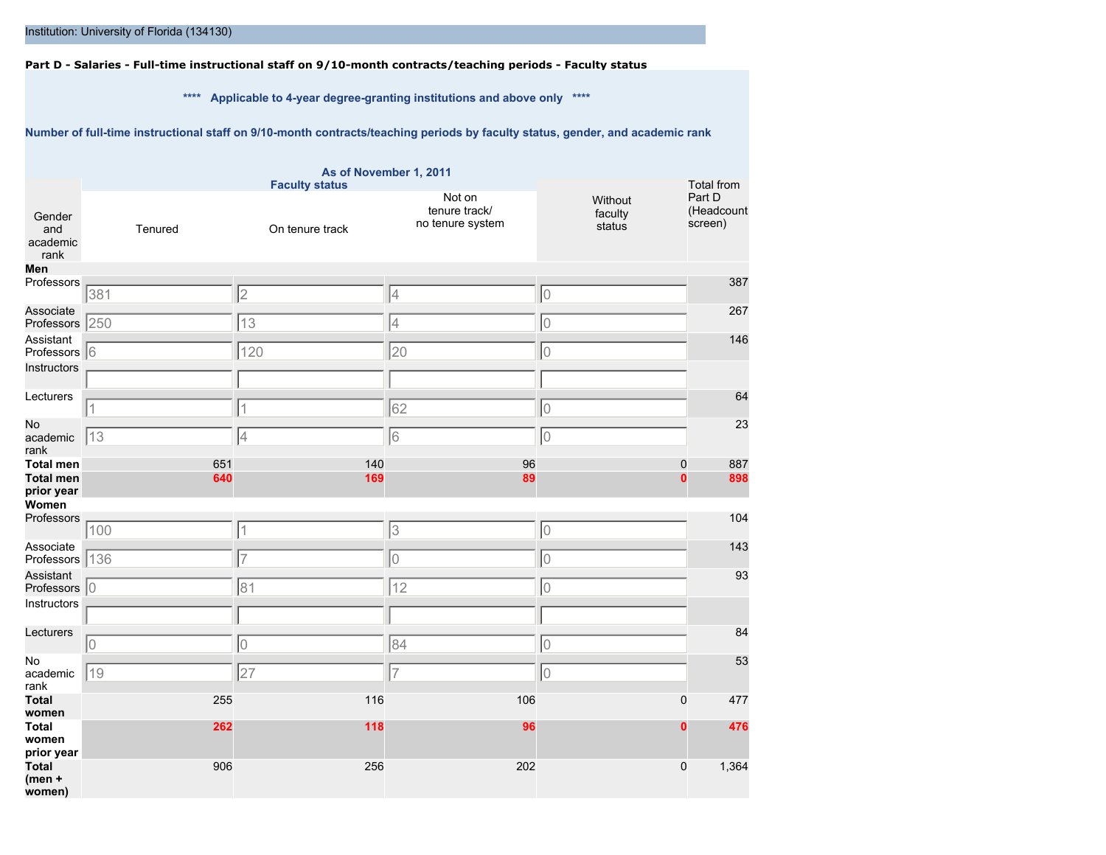**Part D - Salaries - Full-time instructional staff on 9/10-month contracts/teaching periods - Faculty status**

**\*\*\*\* Applicable to 4-year degree-granting institutions and above only \*\*\*\***

**Number of full-time instructional staff on 9/10-month contracts/teaching periods by faculty status, gender, and academic rank**

|                                     |         | <b>Faculty status</b> | As of November 1, 2011                      |                              | Total from                      |
|-------------------------------------|---------|-----------------------|---------------------------------------------|------------------------------|---------------------------------|
| Gender<br>and<br>academic<br>rank   | Tenured | On tenure track       | Not on<br>tenure track/<br>no tenure system | Without<br>faculty<br>status | Part D<br>(Headcount<br>screen) |
| Men                                 |         |                       |                                             |                              |                                 |
| Professors                          | 381     | $\overline{2}$        | 4                                           | 0                            | 387                             |
| Associate<br>Professors 250         |         | 13                    | $\overline{4}$                              | $\hbox{O}$                   | 267                             |
| Assistant<br>Professors 6           |         | 120                   | 20                                          | $\circ$                      | 146                             |
| Instructors                         |         |                       |                                             |                              |                                 |
| Lecturers                           |         |                       |                                             |                              | 64                              |
|                                     |         | 1                     | 62                                          | $\overline{0}$               |                                 |
| No<br>academic<br>rank              | 13      | 4                     | 6                                           | $\circ$                      | 23                              |
| <b>Total men</b>                    | 651     | 140                   | 96                                          | $\mathbf{0}$                 | 887                             |
| <b>Total men</b><br>prior year      | 640     | 169                   | 89                                          | $\bf{0}$                     | 898                             |
| Women                               |         |                       |                                             |                              |                                 |
| Professors                          | 100     | $\mathbf 1$           | 3                                           | 10                           | 104                             |
| Associate                           |         | $\overline{7}$        | lo                                          | $\overline{0}$               | 143                             |
| Professors 136<br>Assistant         |         |                       |                                             |                              | 93                              |
| Professors 0                        |         | 81                    | 12                                          | lo                           |                                 |
| Instructors                         |         |                       |                                             |                              |                                 |
| Lecturers                           | 10      | $\overline{0}$        | 84                                          | $\overline{0}$               | 84                              |
| No                                  |         |                       |                                             |                              | 53                              |
| academic<br>rank                    | 19      | 27                    | $\overline{7}$                              | lo                           |                                 |
| <b>Total</b><br>women               | 255     | 116                   | 106                                         | 0                            | 477                             |
| <b>Total</b><br>women<br>prior year | 262     | 118                   | 96                                          | $\bf{0}$                     | 476                             |
| <b>Total</b><br>$(men +$<br>women)  | 906     | 256                   | 202                                         | 0                            | 1,364                           |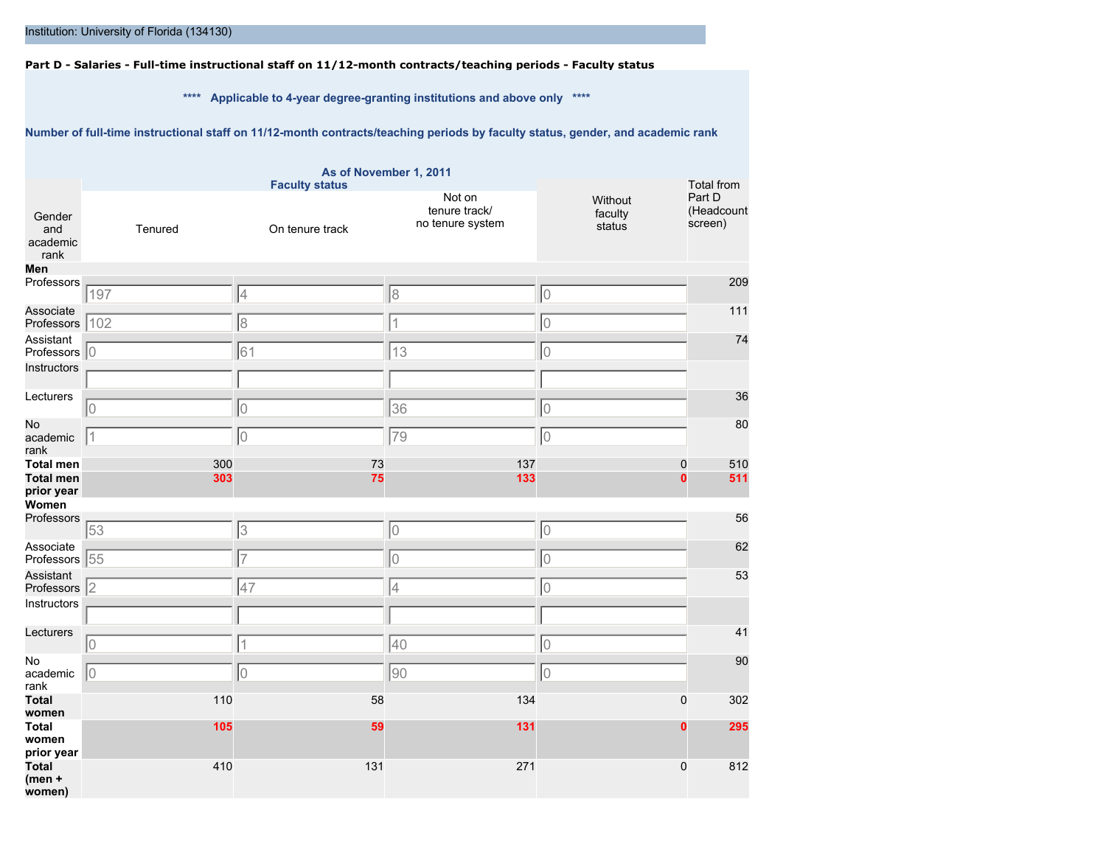**Part D - Salaries - Full-time instructional staff on 11/12-month contracts/teaching periods - Faculty status**

**\*\*\*\* Applicable to 4-year degree-granting institutions and above only \*\*\*\***

**Number of full-time instructional staff on 11/12-month contracts/teaching periods by faculty status, gender, and academic rank**

|                                     |         | <b>Faculty status</b> | As of November 1, 2011                      |                              | <b>Total from</b>               |
|-------------------------------------|---------|-----------------------|---------------------------------------------|------------------------------|---------------------------------|
| Gender<br>and<br>academic<br>rank   | Tenured | On tenure track       | Not on<br>tenure track/<br>no tenure system | Without<br>faculty<br>status | Part D<br>(Headcount<br>screen) |
| Men                                 |         |                       |                                             |                              |                                 |
| Professors                          | 197     | 4                     | 8                                           | 10                           | 209                             |
| Associate                           |         |                       |                                             |                              | 111                             |
| Professors 102                      |         | 8                     | $\overline{1}$                              | $\overline{0}$               |                                 |
| Assistant                           |         |                       |                                             |                              | 74                              |
| Professors 0                        |         | 61                    | 13                                          | 0                            |                                 |
| Instructors                         |         |                       |                                             |                              |                                 |
| Lecturers                           |         |                       |                                             |                              | 36                              |
|                                     | 10      | 10                    | 36                                          | 0                            |                                 |
| No                                  |         |                       |                                             |                              | 80                              |
| academic<br>rank                    | 11      | 10                    | 79                                          | 0                            |                                 |
| <b>Total men</b>                    | 300     | 73                    | 137                                         | $\mathbf 0$                  | 510                             |
| <b>Total men</b>                    | 303     | 75                    | 133                                         | $\bf{0}$                     | 511                             |
| prior year                          |         |                       |                                             |                              |                                 |
| Women<br>Professors                 |         |                       |                                             |                              | 56                              |
|                                     | 53      | 3                     | 10                                          | 10                           |                                 |
| Associate                           |         |                       |                                             |                              | 62                              |
| Professors 55                       |         | $\overline{7}$        | 10                                          | 0                            |                                 |
| Assistant<br>Professors 2           |         | 47                    | 4                                           | lo                           | 53                              |
| Instructors                         |         |                       |                                             |                              |                                 |
|                                     |         |                       |                                             |                              |                                 |
| Lecturers                           |         |                       |                                             |                              | 41                              |
|                                     | 10      | 1                     | $\sqrt{40}$                                 | 0                            |                                 |
| No<br>academic                      | 10      | 10                    | $\sqrt{90}$                                 | 0                            | 90                              |
| rank                                |         |                       |                                             |                              |                                 |
| <b>Total</b><br>women               | 110     | 58                    | 134                                         | $\mathbf 0$                  | 302                             |
| <b>Total</b><br>women<br>prior year | 105     | 59                    | 131                                         | $\bf{0}$                     | 295                             |
| <b>Total</b><br>$(men +$<br>women)  | 410     | 131                   | 271                                         | 0                            | 812                             |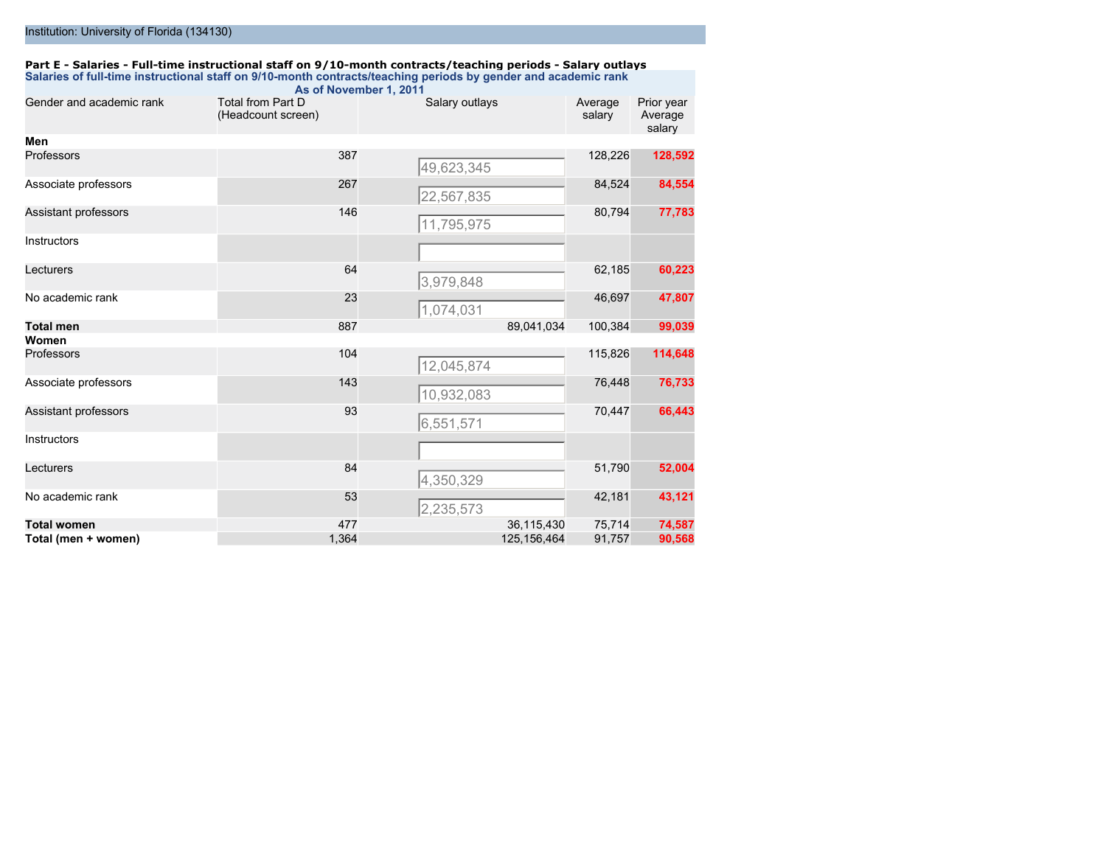### **Part E - Salaries - Full-time instructional staff on 9/10-month contracts/teaching periods - Salary outlays Salaries of full-time instructional staff on 9/10-month contracts/teaching periods by gender and academic rank**

|                          |                                                | As of November 1, 2011 |                         |                                 |
|--------------------------|------------------------------------------------|------------------------|-------------------------|---------------------------------|
| Gender and academic rank | <b>Total from Part D</b><br>(Headcount screen) | Salary outlays         | Average<br>salary       | Prior year<br>Average<br>salary |
| Men                      |                                                |                        |                         |                                 |
| Professors               | 387                                            | 49,623,345             | 128,226                 | 128,592                         |
| Associate professors     | 267                                            | 22,567,835             | 84,524                  | 84,554                          |
| Assistant professors     | 146                                            | 11,795,975             | 80,794                  | 77,783                          |
| Instructors              |                                                |                        |                         |                                 |
| Lecturers                | 64                                             | 3,979,848              | 62,185                  | 60,223                          |
| No academic rank         | 23                                             | 1,074,031              | 46,697                  | 47,807                          |
| <b>Total men</b>         | 887                                            |                        | 89,041,034<br>100,384   | 99,039                          |
| Women                    |                                                |                        |                         |                                 |
| Professors               | 104                                            | 12,045,874             | 115,826                 | 114,648                         |
| Associate professors     | 143                                            | 10,932,083             | 76,448                  | 76,733                          |
| Assistant professors     | 93                                             | 6,551,571              | 70,447                  | 66,443                          |
| Instructors              |                                                |                        |                         |                                 |
| Lecturers                | 84                                             | 4,350,329              | 51,790                  | 52,004                          |
| No academic rank         | 53                                             | 2,235,573              | 42,181                  | 43,121                          |
| <b>Total women</b>       | 477                                            |                        | 36,115,430<br>75,714    | 74,587                          |
| Total (men + women)      | 1,364                                          |                        | 125, 156, 464<br>91,757 | 90,568                          |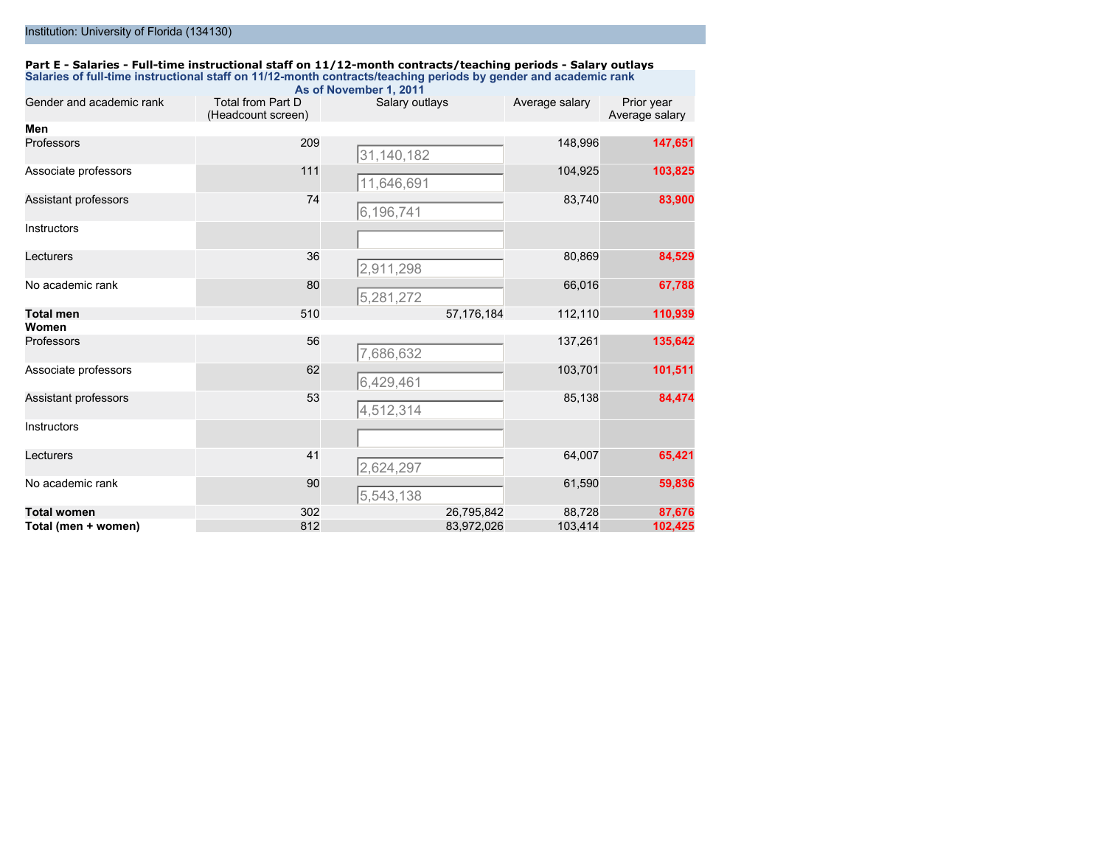### **Part E - Salaries - Full-time instructional staff on 11/12-month contracts/teaching periods - Salary outlays Salaries of full-time instructional staff on 11/12-month contracts/teaching periods by gender and academic rank**

|                          |                                         | As of November 1, 2011 |                |                              |
|--------------------------|-----------------------------------------|------------------------|----------------|------------------------------|
| Gender and academic rank | Total from Part D<br>(Headcount screen) | Salary outlays         | Average salary | Prior year<br>Average salary |
| Men                      |                                         |                        |                |                              |
| Professors               | 209                                     | 31,140,182             | 148,996        | 147,651                      |
| Associate professors     | 111                                     | 11,646,691             | 104,925        | 103,825                      |
| Assistant professors     | 74                                      | 6,196,741              | 83,740         | 83,900                       |
| Instructors              |                                         |                        |                |                              |
| Lecturers                | 36                                      | 2,911,298              | 80,869         | 84,529                       |
| No academic rank         | 80                                      | 5,281,272              | 66,016         | 67,788                       |
| <b>Total men</b>         | 510                                     | 57,176,184             | 112,110        | 110,939                      |
| Women                    |                                         |                        |                |                              |
| Professors               | 56                                      | 7,686,632              | 137,261        | 135,642                      |
| Associate professors     | 62                                      | 6,429,461              | 103,701        | 101,511                      |
| Assistant professors     | 53                                      | 4,512,314              | 85,138         | 84,474                       |
| Instructors              |                                         |                        |                |                              |
| Lecturers                | 41                                      | 2,624,297              | 64,007         | 65,421                       |
| No academic rank         | 90                                      | 5,543,138              | 61,590         | 59,836                       |
| <b>Total women</b>       | 302                                     | 26,795,842             | 88,728         | 87,676                       |
| Total (men + women)      | 812                                     | 83,972,026             | 103,414        | 102,425                      |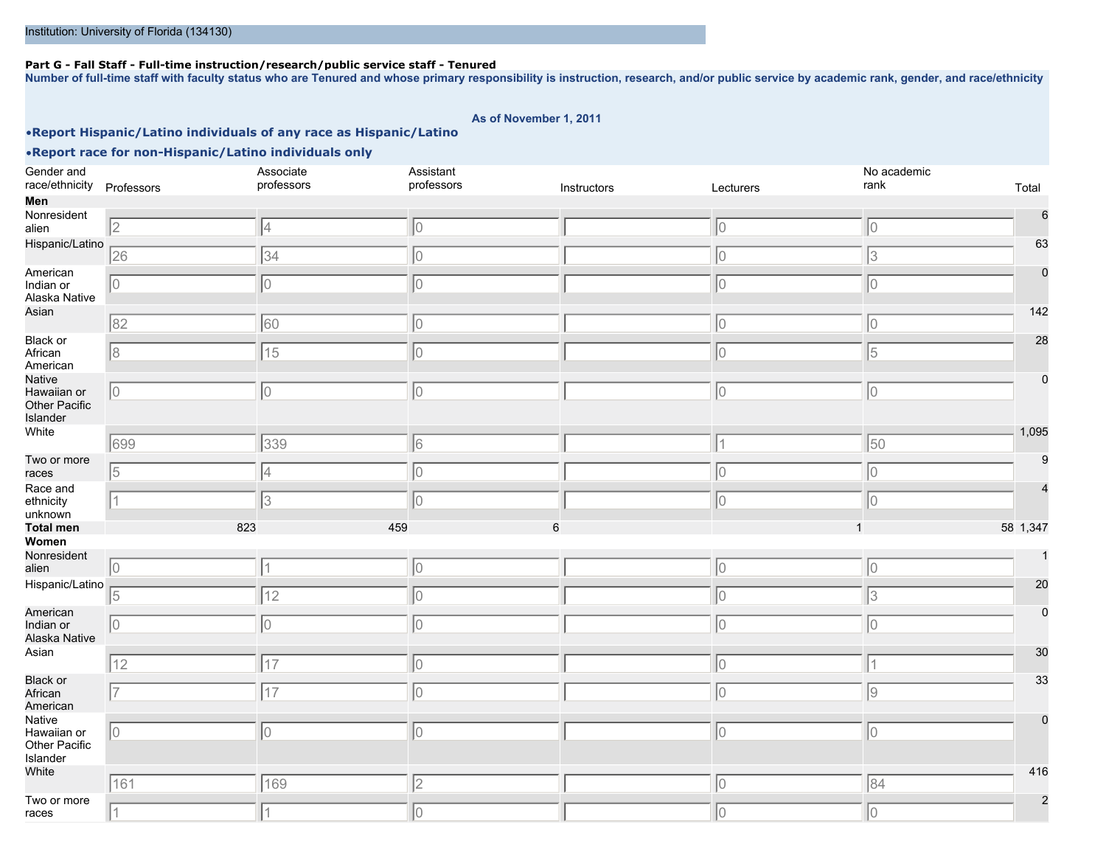#### **Part G - Fall Staff - Full-time instruction/research/public service staff - Tenured**

**Number of full-time staff with faculty status who are Tenured and whose primary responsibility is instruction, research, and/or public service by academic rank, gender, and race/ethnicity**

#### **As of November 1, 2011**

### •**Report Hispanic/Latino individuals of any race as Hispanic/Latino**

•**Report race for non-Hispanic/Latino individuals only**

#### Gender and race/ethnicity Professors Associate professors Assistant professors **Instructors** Instructors Lecturers No academic rank Total **Men** Nonresident alien 6 Hispanic/Latino 63 American Indian or Alaska Native 0 Asian 142 Black or African American 28 **Native** Hawaiian or Other Pacific Islander 0 White **1,095** - 2,095 - 2,095 - 2,095 - 2,095 - 2,095 - 2,095 - 2,095 - 2,095 - 2,095 - 2,095 - 2,095 - 2,095 - 2,095 - 2,095 - 2,095 - 2,095 - 2,095 - 2,095 - 2,095 - 2,095 - 2,095 - 2,095 - 2,095 - 2,095 - 2,095 - 2,095 Two or more races  $\mathbf c$ Race and ethnicity unknown 4 **Total men** 823 459 6 1 58 1,347 **Women** Nonresident alien 1 Hispanic/Latino 20 American Indian or Alaska Native 0 Asian <u>performance and the contract of the contract of the contract of the contract of the contract of the contract of the contract of the contract of the contract of the contract of the contract of the contract of the con</u> Black or African American 33 Native Hawaiian or Other Pacific Islander 0 White **Products and the contract of the contract of the contract of the contract of the contract of the contract of the contract of the contract of the contract of the contract of the contract of the contract of the contra** Two or more races 2 2 4 0 0 0 26 34 0 0 3 0 0 0 0 0 82 60 0 0 0 8 15 0 0 5 0 0 0 0 0 699 339 6 1 50 5 4 0 0 0 1 3 0 0 0 0 1 0 0 0 5 12 12 0 10 12 13 0 0 0 0 0 12 **12** 12 **12** 12 **12** 12 7 17 17 10 10 10 10 10 10 10 10 0 0 0 0 0 161 169 2 0 84 1 1 0 0 0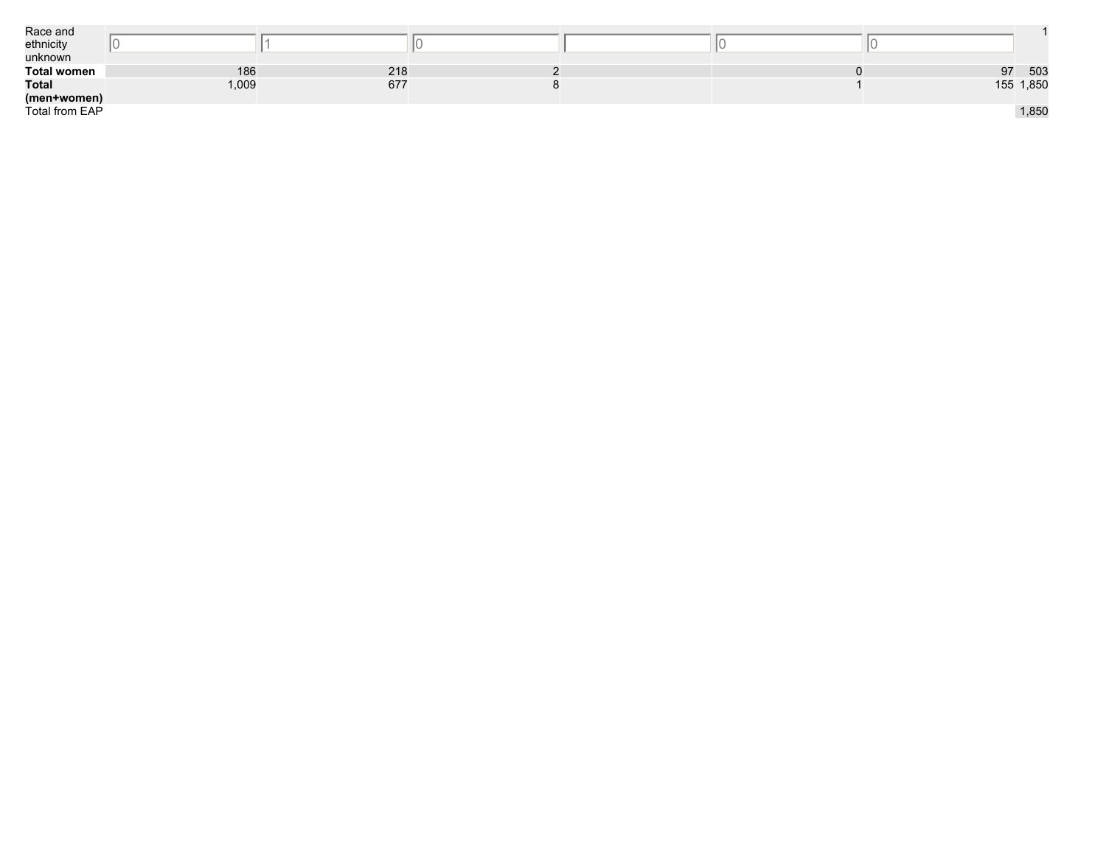| Race and           |       |     |  |    |           |
|--------------------|-------|-----|--|----|-----------|
| ethnicity          |       |     |  |    |           |
| unknown            |       |     |  |    |           |
| <b>Total women</b> | 186   | 218 |  | 97 | 503       |
| <b>Total</b>       | 1,009 | 677 |  |    | 155 1,850 |
| (men+women)        |       |     |  |    |           |
| Total from EAP     |       |     |  |    | 1,850     |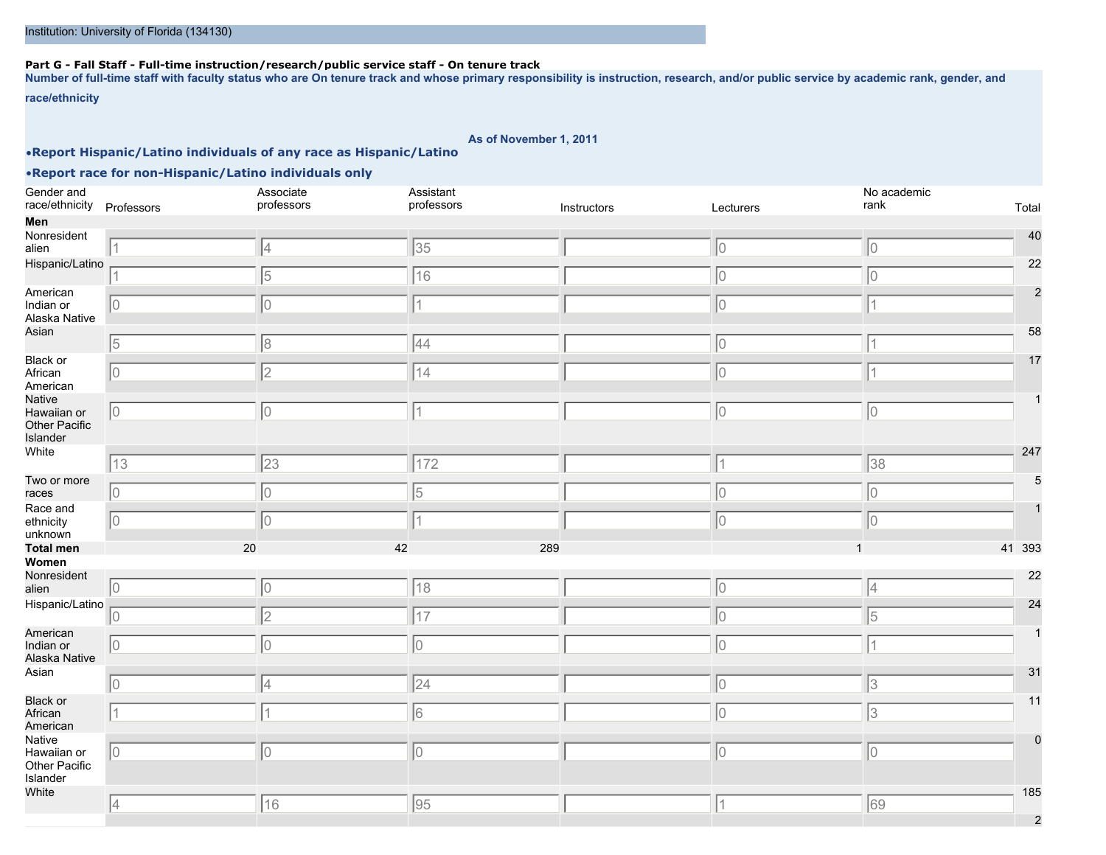### **Part G - Fall Staff - Full-time instruction/research/public service staff - On tenure track**

**Number of full-time staff with faculty status who are On tenure track and whose primary responsibility is instruction, research, and/or public service by academic rank, gender, and**

**race/ethnicity**

**As of November 1, 2011**

### •**Report Hispanic/Latino individuals of any race as Hispanic/Latino**

| Gender and<br>race/ethnicity                       | Professors  | Associate<br>professors | Assistant<br>professors | Instructors | Lecturers | No academic<br>rank<br>Total |
|----------------------------------------------------|-------------|-------------------------|-------------------------|-------------|-----------|------------------------------|
| Men                                                |             |                         |                         |             |           |                              |
| Nonresident<br>alien                               |             | 4                       | 35                      |             | 10        | 40<br>10                     |
| Hispanic/Latino                                    | 1           | 5                       | 16                      |             | 10        | 22<br>0                      |
| American<br>Indian or<br>Alaska Native             | 10          | 10                      | 11                      |             | 10        | $\mathcal{P}$<br>$\vert$ 1   |
| Asian                                              | 5           | 8                       | 44                      |             | 10        | 58<br>1                      |
| Black or<br>African<br>American                    | 10          | 2                       | 14                      |             | 10        | 17<br>$\overline{1}$         |
| Native<br>Hawaiian or<br>Other Pacific<br>Islander | $ 0\rangle$ | 10                      | $\vert$ 1               |             | 10        | 10                           |
| White                                              | 13          | 23                      | 172                     |             | $\vert$ 1 | 247<br>38                    |
| Two or more<br>races                               | 10          | 10                      | 5                       |             | 10        | 0                            |
| Race and<br>ethnicity<br>unknown                   | 10          | 10                      |                         |             | 10        | 0                            |
| <b>Total men</b>                                   | 20          | 42                      | 289                     |             |           | 41 393                       |
| Women                                              |             |                         |                         |             |           |                              |
| Nonresident<br>alien                               | 10          | 10                      | 18                      |             | 10        | 22<br> 4                     |
| Hispanic/Latino                                    | 10          | 2                       | 17                      |             | 10        | 24<br> 5                     |
| American<br>Indian or<br>Alaska Native             | 10          | 10                      | 10                      |             | 10        | 1                            |
| Asian                                              | 10          | 4                       | 24                      |             | 10        | 31<br>3                      |
| <b>Black or</b><br>African<br>American             | $\vert$ 1   |                         | 6                       |             | 10        | 11<br>3                      |
| Native<br>Hawaiian or<br>Other Pacific<br>Islander | 10          | 10                      | 10                      |             | IО        | 10                           |
| White                                              | 4           | 16                      | 95                      |             | 1         | 185<br>69<br>2               |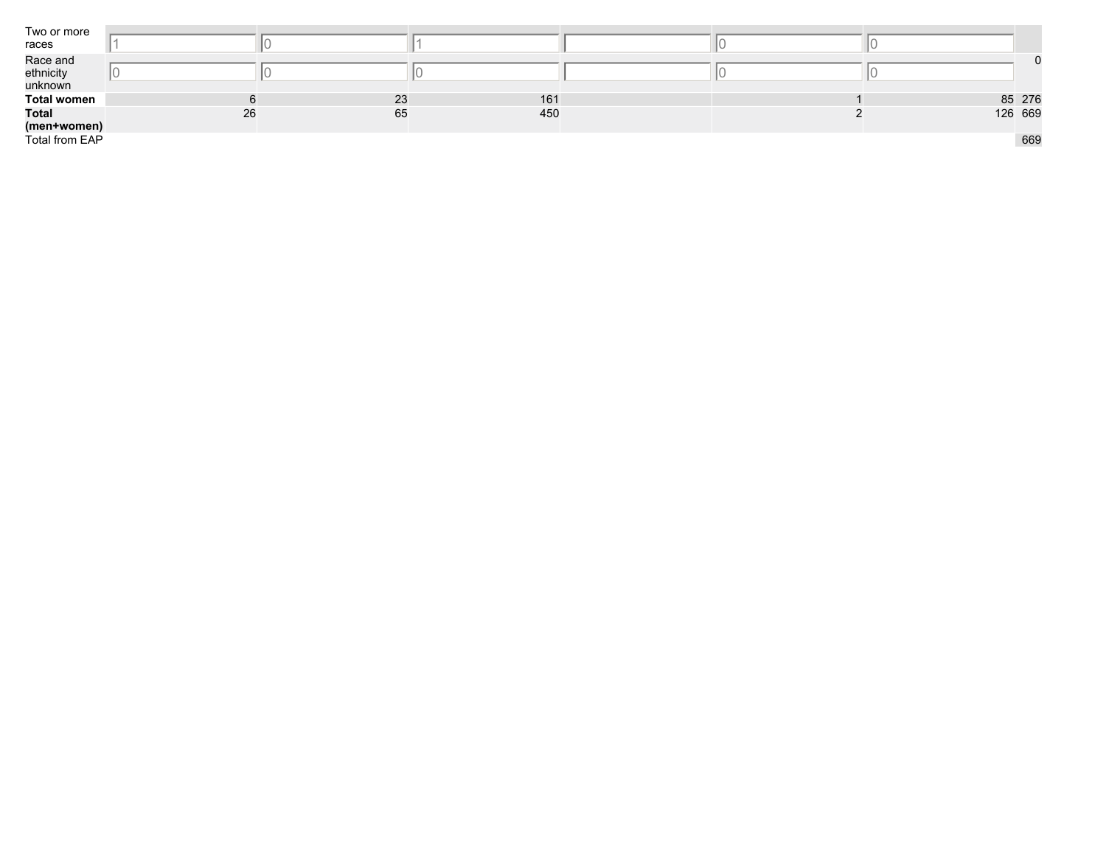| Two or more<br>races  |    |    |     |  |         |
|-----------------------|----|----|-----|--|---------|
| Race and<br>ethnicity |    |    |     |  |         |
| unknown               |    |    |     |  |         |
| <b>Total women</b>    |    | 23 | 161 |  | 85 276  |
| <b>Total</b>          | 26 | 65 | 450 |  | 126 669 |
| (men+women)           |    |    |     |  |         |
| Total from EAP        |    |    |     |  | 669     |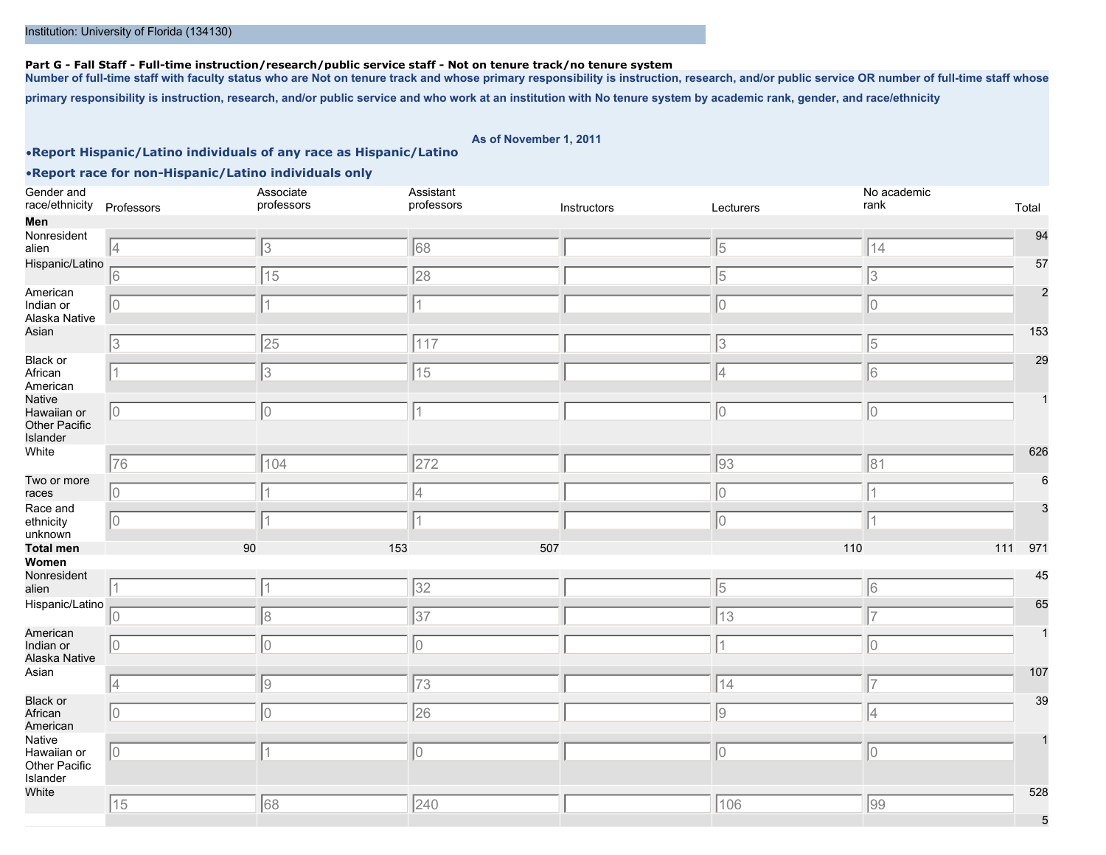#### **Part G - Fall Staff - Full-time instruction/research/public service staff - Not on tenure track/no tenure system**

**Number of full-time staff with faculty status who are Not on tenure track and whose primary responsibility is instruction, research, and/or public service OR number of full-time staff whose**

**primary responsibility is instruction, research, and/or public service and who work at an institution with No tenure system by academic rank, gender, and race/ethnicity**

**As of November 1, 2011**

#### •**Report Hispanic/Latino individuals of any race as Hispanic/Latino**

| Gender and<br>race/ethnicity Professors            |             | Associate<br>professors | Assistant<br>professors | Instructors | Lecturers | No academic<br>rank | Total          |
|----------------------------------------------------|-------------|-------------------------|-------------------------|-------------|-----------|---------------------|----------------|
| Men                                                |             |                         |                         |             |           |                     |                |
| Nonresident<br>alien                               | 4           | 3                       | 68                      |             | 5         | 14                  | 94             |
| Hispanic/Latino                                    |             |                         |                         |             |           |                     | 57             |
|                                                    | 6           | 15                      | 28                      |             | 5         | 3                   |                |
| American<br>Indian or<br>Alaska Native             | $ 0\rangle$ |                         | 11                      |             | 10        | 10                  | $\overline{2}$ |
| Asian                                              | 3           | 25                      | 117                     |             | 3         | $\sqrt{5}$          | 153            |
| <b>Black or</b><br>African<br>American             | 11          | 3                       | 15                      |             | 4         | 6                   | 29             |
| Native<br>Hawaiian or<br>Other Pacific<br>Islander | $ 0\rangle$ | 10                      | 11                      |             | 10        | 10                  |                |
| White                                              | 76          | 104                     | 272                     |             | 93        | 81                  | 626            |
| Two or more<br>races                               | 10          |                         | 4                       |             | 10        |                     | 6              |
| Race and<br>ethnicity                              | $ 0\rangle$ |                         |                         |             | 10        |                     |                |
| unknown<br><b>Total men</b>                        | 90          | 153                     | 507                     |             | 110       | 111 971             |                |
| Women                                              |             |                         |                         |             |           |                     |                |
| Nonresident<br>alien                               | 11          |                         | 32                      |             | 5         | 6                   | 45             |
| Hispanic/Latino                                    | $ 0\rangle$ | 8                       | 37                      |             | 13        | 17                  | 65             |
| American<br>Indian or<br>Alaska Native             | $ 0\rangle$ | 10                      | 10                      |             |           | lo.                 |                |
| Asian                                              | 4           | 9                       | 73                      |             | 14        | 17                  | 107            |
| <b>Black or</b><br>African<br>American             | $\sqrt{0}$  | 10                      | 26                      |             | 9         | 4                   | 39             |
| Native<br>Hawaiian or<br>Other Pacific<br>Islander | $ 0\rangle$ | 1                       | 10                      |             | 10        | 0                   |                |
| White                                              | 15          | 68                      | 240                     |             | 106       | 99                  | 528            |
|                                                    |             |                         |                         |             |           |                     | 5              |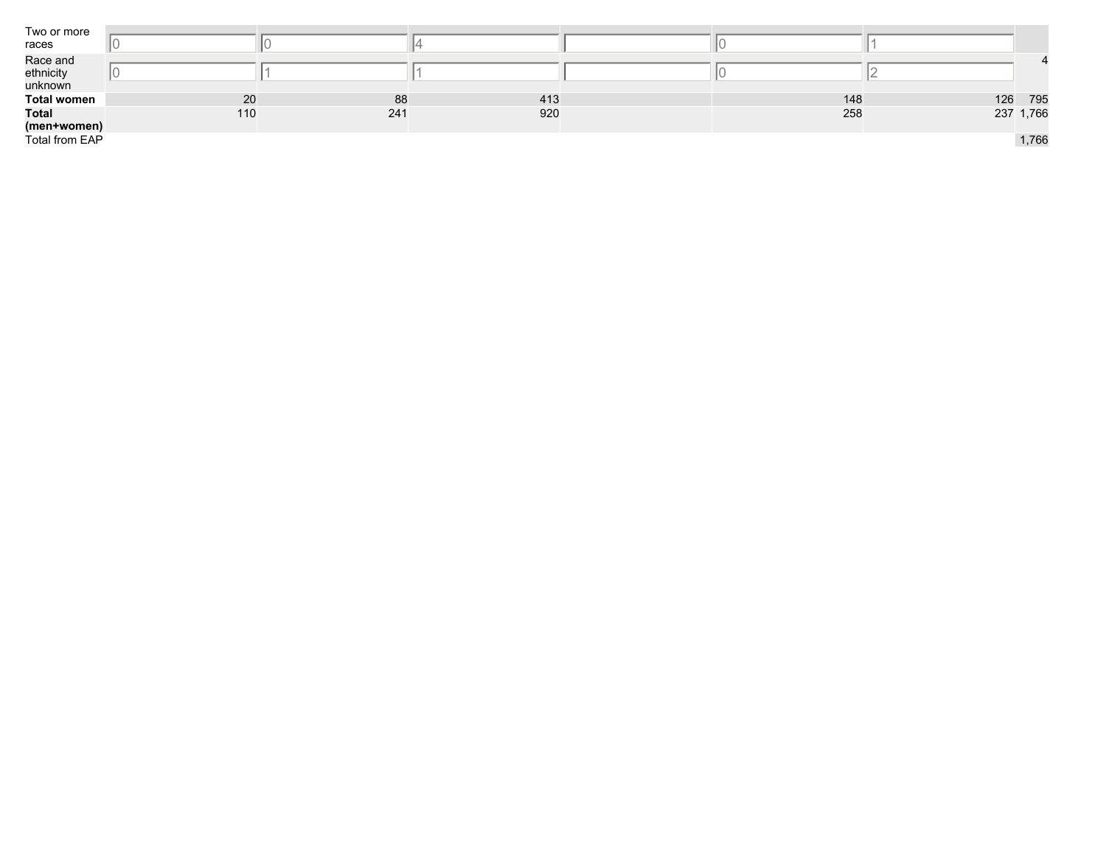| Two or more<br>races             |     |     |     |     |     |           |
|----------------------------------|-----|-----|-----|-----|-----|-----------|
| Race and<br>ethnicity<br>unknown |     |     |     |     |     |           |
| <b>Total women</b>               | 20  | 88  | 413 | 148 | 126 | 795       |
| <b>Total</b><br>(men+women)      | 110 | 241 | 920 | 258 |     | 237 1,766 |
| Total from EAP                   |     |     |     |     |     | 1,766     |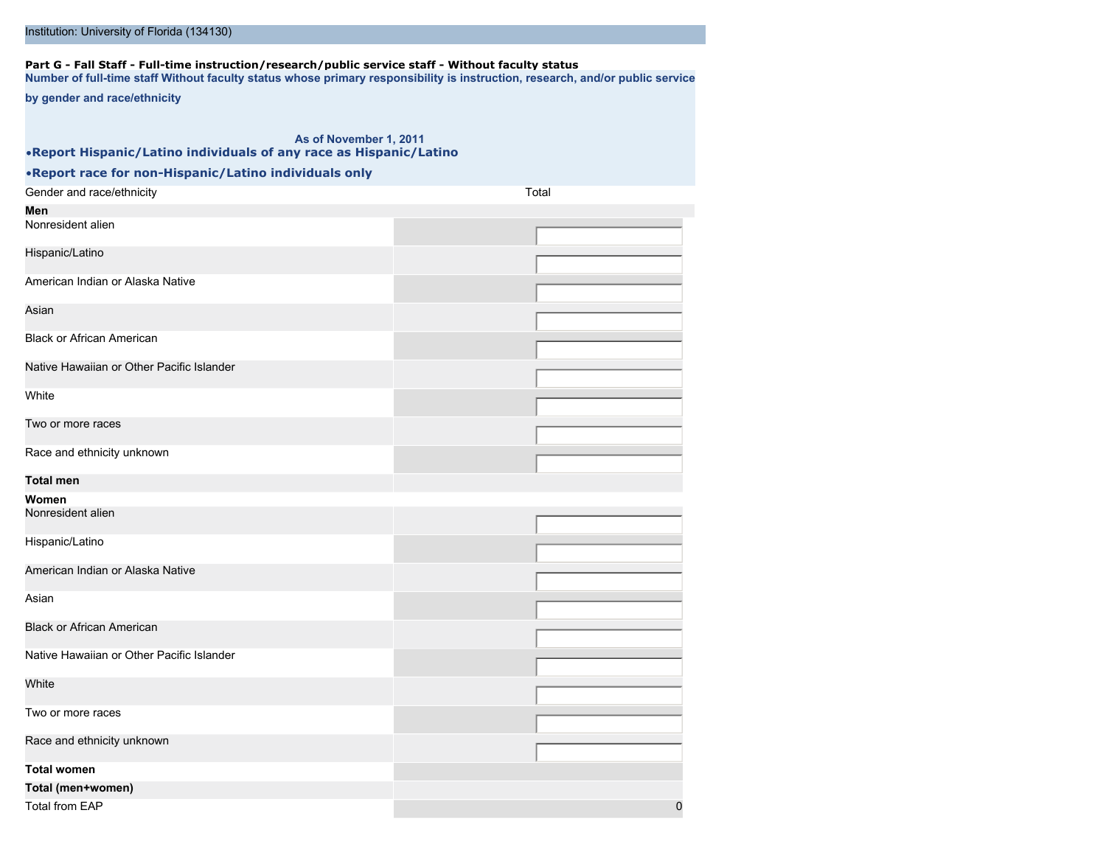| by gender and race/ethnicity                                       |       |
|--------------------------------------------------------------------|-------|
|                                                                    |       |
| As of November 1, 2011                                             |       |
| .Report Hispanic/Latino individuals of any race as Hispanic/Latino |       |
| . Report race for non-Hispanic/Latino individuals only             |       |
| Gender and race/ethnicity                                          | Total |
| Men                                                                |       |
| Nonresident alien                                                  |       |
| Hispanic/Latino                                                    |       |
| American Indian or Alaska Native                                   |       |
|                                                                    |       |
| Asian                                                              |       |
| <b>Black or African American</b>                                   |       |
| Native Hawaiian or Other Pacific Islander                          |       |
|                                                                    |       |
| White                                                              |       |
| Two or more races                                                  |       |
| Race and ethnicity unknown                                         |       |
| <b>Total men</b>                                                   |       |
| Women                                                              |       |
| Nonresident alien                                                  |       |
| Hispanic/Latino                                                    |       |
|                                                                    |       |
| American Indian or Alaska Native                                   |       |
| Asian                                                              |       |
|                                                                    |       |
| <b>Black or African American</b>                                   |       |
| Native Hawaiian or Other Pacific Islander                          |       |
| White                                                              |       |
| Two or more races                                                  |       |
|                                                                    |       |
| Race and ethnicity unknown                                         |       |
| <b>Total women</b>                                                 |       |
| Total (men+women)                                                  |       |

Total from EAP 0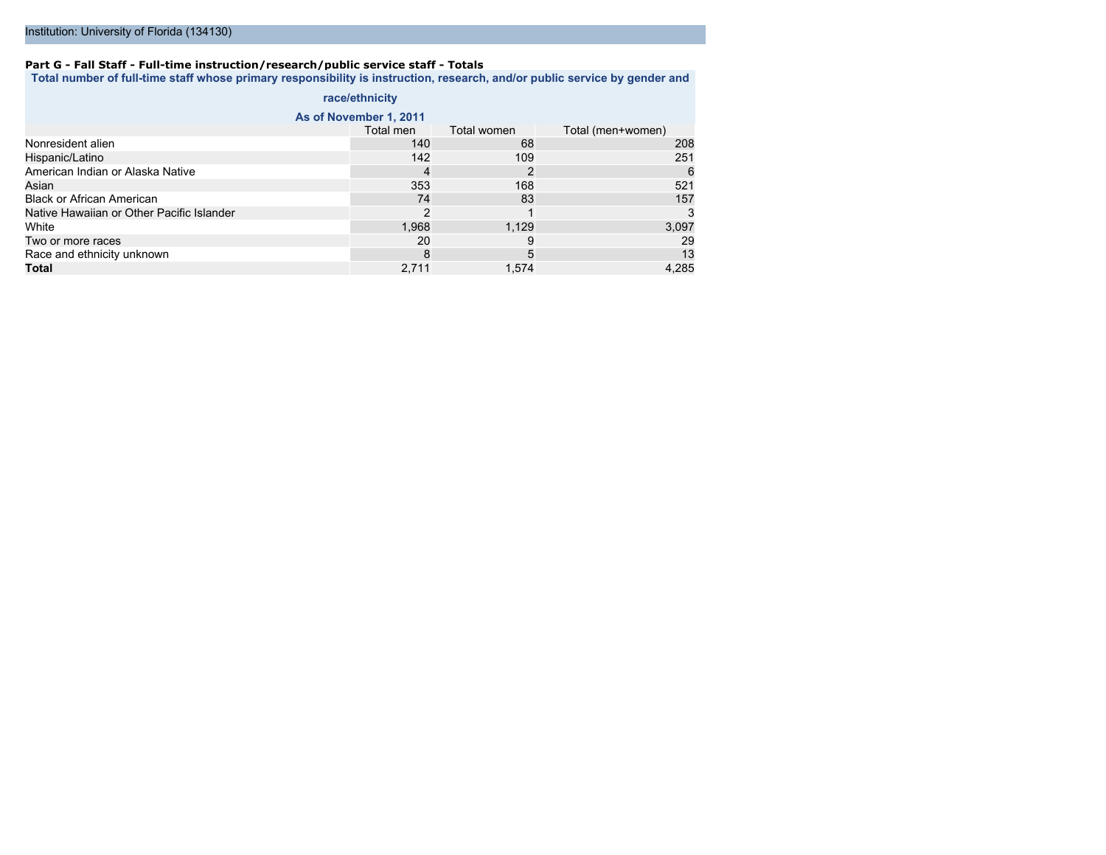#### **Part G - Fall Staff - Full-time instruction/research/public service staff - Totals**

**Total number of full-time staff whose primary responsibility is instruction, research, and/or public service by gender and**

|                                           | race/ethnicity         |             |                   |
|-------------------------------------------|------------------------|-------------|-------------------|
|                                           | As of November 1, 2011 |             |                   |
|                                           | Total men              | Total women | Total (men+women) |
| Nonresident alien                         | 140                    | 68          | 208               |
| Hispanic/Latino                           | 142                    | 109         | 251               |
| American Indian or Alaska Native          | 4                      | 2           | 6                 |
| Asian                                     | 353                    | 168         | 521               |
| <b>Black or African American</b>          | 74                     | 83          | 157               |
| Native Hawaiian or Other Pacific Islander | 2                      |             |                   |
| White                                     | 1,968                  | 1,129       | 3,097             |
| Two or more races                         | 20                     | 9           | 29                |
| Race and ethnicity unknown                | 8                      | 5           | 13                |
| Total                                     | 2,711                  | 1,574       | 4,285             |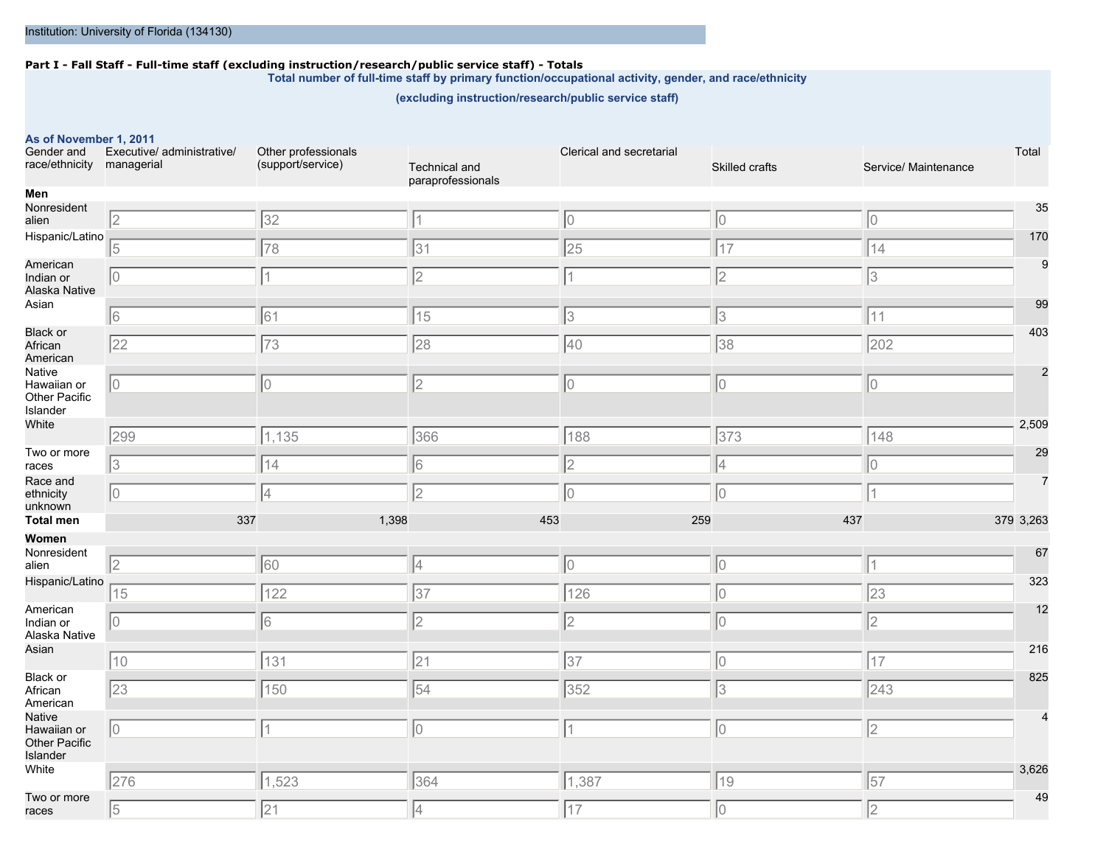#### **Part I - Fall Staff - Full-time staff (excluding instruction/research/public service staff) - Totals**

**Total number of full-time staff by primary function/occupational activity, gender, and race/ethnicity**

**(excluding instruction/research/public service staff)**

### **As of November 1, 2011**

| Gender and<br>race/ethnicity managerial            | Executive/ administrative/ | Other professionals<br>(support/service) | Technical and<br>paraprofessionals | Clerical and secretarial | Skilled crafts   | Total<br>Service/ Maintenance |
|----------------------------------------------------|----------------------------|------------------------------------------|------------------------------------|--------------------------|------------------|-------------------------------|
| Men                                                |                            |                                          |                                    |                          |                  |                               |
| Nonresident<br>alien                               | 2                          | 32                                       | 11                                 | 10                       | 10               | 35<br>10                      |
| Hispanic/Latino                                    | $\sqrt{5}$                 | 78                                       | 31                                 | 25                       | 17               | 170<br> 14                    |
| American<br>Indian or<br>Alaska Native             | 10                         | 1                                        | $\overline{2}$                     |                          | 2                | 9<br> 3                       |
| Asian                                              | 6                          | 61                                       | 15                                 | 3                        | 3                | 99<br>$\sqrt{11}$             |
| <b>Black or</b><br>African<br>American             | 22                         | 73                                       | 28                                 | 40                       | 38               | 403<br>202                    |
| Native<br>Hawaiian or<br>Other Pacific<br>Islander | IО                         | 10                                       | $\sqrt{2}$                         | 0                        | Iо               | 10                            |
| White                                              | 299                        | 1,135                                    | 366                                | 188                      | $\overline{373}$ | 2,509<br>$\overline{148}$     |
| Two or more<br>races                               | 3                          | 14                                       | 6                                  | $\overline{2}$           | 4                | 29<br>10                      |
| Race and<br>ethnicity<br>unknown                   | 10                         | 4                                        | 2                                  | 0                        | IО               |                               |
| <b>Total men</b>                                   | 337                        | 1,398                                    | 453                                | 259                      | 437              | 379 3,263                     |
| Women                                              |                            |                                          |                                    |                          |                  |                               |
| Nonresident<br>alien                               | 2                          | 60                                       | 4                                  | 10                       | 10               | 67<br>11                      |
| Hispanic/Latino                                    | 15                         | 122                                      | 37                                 | 126                      | 10               | 323<br>$\overline{23}$        |
| American<br>Indian or<br>Alaska Native             | 10                         | 16                                       | $\overline{2}$                     | 2                        | 10               | 12<br>$\vert$ <sub>2</sub>    |
| Asian                                              | 10                         | $\sqrt{131}$                             | $\overline{21}$                    | $\overline{37}$          | 10               | 216<br>$\sqrt{17}$            |
| Black or<br>African<br>American                    | 23                         | 150                                      | 54                                 | 352                      | 13               | 825<br>243                    |
| Native<br>Hawaiian or<br>Other Pacific<br>Islander | 10                         |                                          | 10                                 | 1                        | 10               | $\sqrt{2}$                    |
| White                                              | 276                        | 1,523                                    | 364                                | 1,387                    | 19               | 3,626<br>57                   |
| Two or more<br>races                               | 5                          | 21                                       | 4                                  | 17                       | 10               | 49<br>$\vert$ 2               |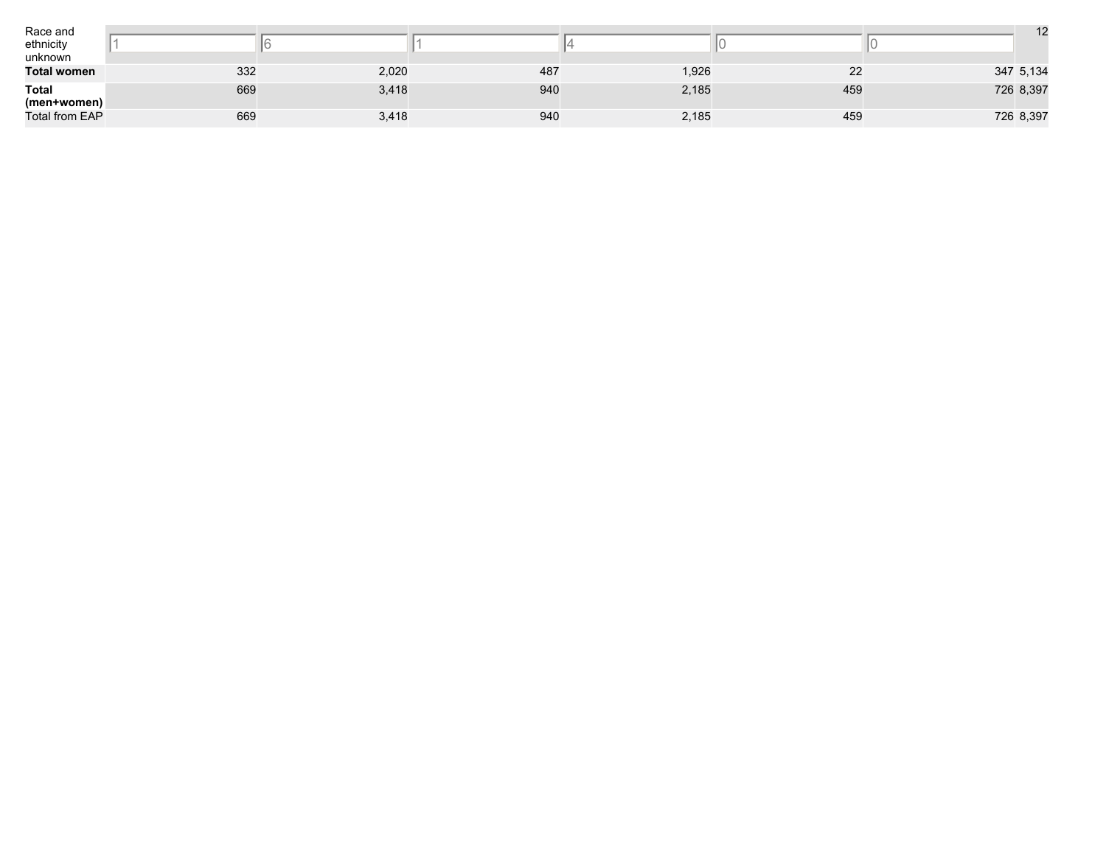| Race and<br>ethnicity<br>unknown |     |       |     |       |     | 12        |
|----------------------------------|-----|-------|-----|-------|-----|-----------|
| <b>Total women</b>               | 332 | 2,020 | 487 | 1,926 | 22  | 347 5,134 |
| <b>Total</b><br>(men+women)      | 669 | 3,418 | 940 | 2,185 | 459 | 726 8,397 |
| <b>Total from EAP</b>            | 669 | 3,418 | 940 | 2,185 | 459 | 726 8,397 |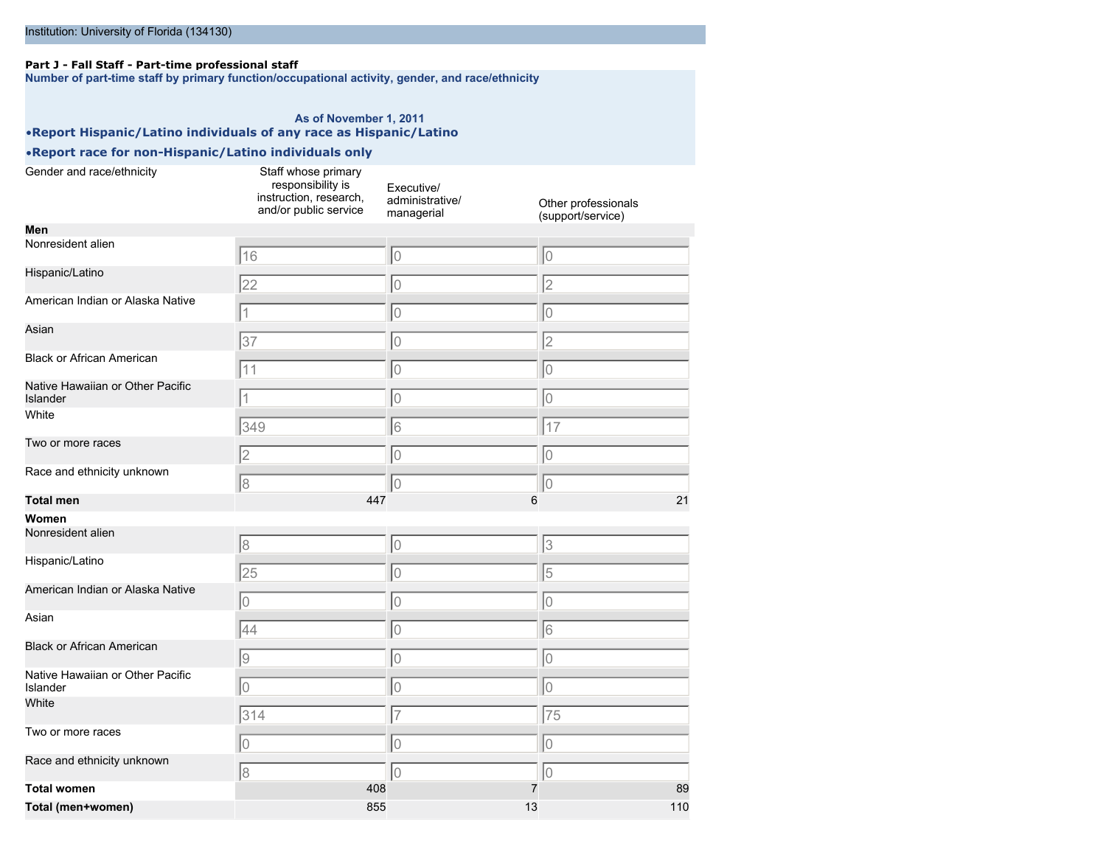### **Part J - Fall Staff - Part-time professional staff**

**Number of part-time staff by primary function/occupational activity, gender, and race/ethnicity**

### **As of November 1, 2011** •**Report Hispanic/Latino individuals of any race as Hispanic/Latino**

| Gender and race/ethnicity                    | Staff whose primary<br>responsibility is<br>instruction, research,<br>and/or public service | Executive/<br>administrative/<br>managerial | Other professionals<br>(support/service) |     |
|----------------------------------------------|---------------------------------------------------------------------------------------------|---------------------------------------------|------------------------------------------|-----|
| Men                                          |                                                                                             |                                             |                                          |     |
| Nonresident alien                            | 16                                                                                          | lo                                          | $\overline{0}$                           |     |
| Hispanic/Latino                              | $\overline{22}$                                                                             | 0                                           | $\overline{2}$                           |     |
| American Indian or Alaska Native             |                                                                                             | lo                                          | $\overline{0}$                           |     |
| Asian                                        | 37                                                                                          | 0                                           | $\overline{2}$                           |     |
| <b>Black or African American</b>             |                                                                                             |                                             |                                          |     |
|                                              | 11                                                                                          | 10                                          | $\overline{0}$                           |     |
| Native Hawaiian or Other Pacific<br>Islander | $\overline{1}$                                                                              | 0                                           | $\circ$                                  |     |
| White                                        | 349                                                                                         | 16                                          | 17                                       |     |
| Two or more races                            | $\overline{2}$                                                                              | 0                                           | $\overline{0}$                           |     |
| Race and ethnicity unknown                   | $\overline{8}$                                                                              | 10                                          | $\circ$                                  |     |
| <b>Total men</b>                             |                                                                                             | 447                                         | 6                                        | 21  |
| Women                                        |                                                                                             |                                             |                                          |     |
| Nonresident alien                            | 8                                                                                           | 0                                           | 3                                        |     |
| Hispanic/Latino                              | $\overline{25}$                                                                             | 10                                          | 5                                        |     |
| American Indian or Alaska Native             | 0                                                                                           | 0                                           | $\hbox{O}$                               |     |
| Asian                                        | 44                                                                                          | 0                                           | 6                                        |     |
| <b>Black or African American</b>             | $\overline{9}$                                                                              | lo                                          | $\overline{0}$                           |     |
| Native Hawaiian or Other Pacific<br>Islander | $\overline{0}$                                                                              | o                                           | $\overline{0}$                           |     |
| White                                        | 314                                                                                         | 7                                           | 75                                       |     |
| Two or more races                            | 0                                                                                           | 10                                          | $\overline{0}$                           |     |
| Race and ethnicity unknown                   | $\overline{8}$                                                                              | lo                                          | $\overline{0}$                           |     |
| <b>Total women</b>                           |                                                                                             | 408                                         | $\overline{7}$                           | 89  |
| Total (men+women)                            |                                                                                             | 855                                         | 13                                       | 110 |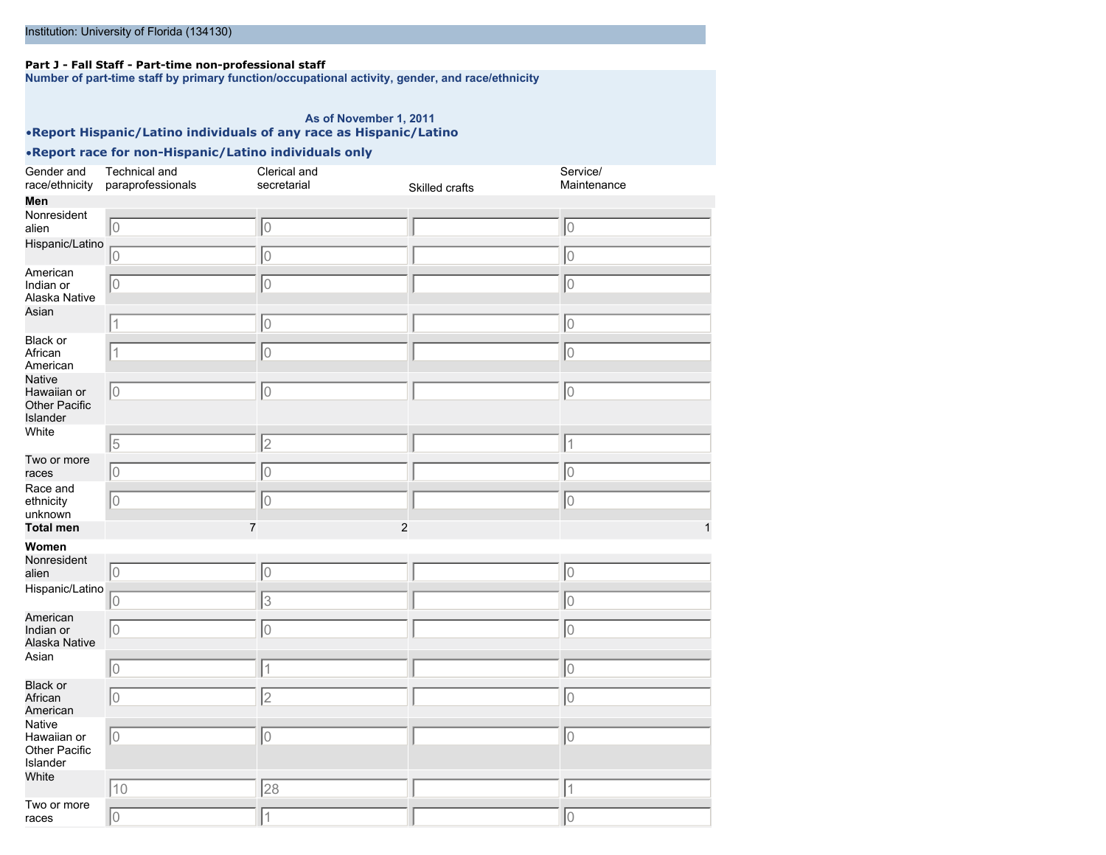### **Part J - Fall Staff - Part-time non-professional staff**

**Number of part-time staff by primary function/occupational activity, gender, and race/ethnicity**

### **As of November 1, 2011**

•**Report Hispanic/Latino individuals of any race as Hispanic/Latino**

| Gender and<br>race/ethnicity                                     | Technical and<br>paraprofessionals | Clerical and<br>secretarial | Skilled crafts | Service/<br>Maintenance |
|------------------------------------------------------------------|------------------------------------|-----------------------------|----------------|-------------------------|
| Men                                                              |                                    |                             |                |                         |
| Nonresident                                                      |                                    |                             |                |                         |
| alien                                                            | 10                                 | $\overline{0}$              |                | lo                      |
| Hispanic/Latino                                                  | 0                                  | 0                           |                | 0                       |
| American<br>Indian or<br>Alaska Native                           | 10                                 | $\overline{0}$              |                | 0                       |
| Asian                                                            | $\overline{1}$                     | 0                           |                | lo                      |
| Black or<br>African<br>American                                  | 1                                  | 10                          |                | lo                      |
| <b>Native</b><br>Hawaiian or<br><b>Other Pacific</b><br>Islander | 10                                 | $\overline{0}$              |                | 0                       |
| White                                                            | $\sqrt{5}$                         | $\overline{c}$              |                | $\overline{1}$          |
| Two or more<br>races                                             | 10                                 | $\overline{0}$              |                | $\overline{0}$          |
| Race and<br>ethnicity<br>unknown                                 | 10                                 | $\overline{0}$              |                | 0                       |
| <b>Total men</b>                                                 | $\overline{7}$                     | $\overline{2}$              |                | 1                       |
| Women                                                            |                                    |                             |                |                         |
| Nonresident<br>alien                                             | 10                                 | 10                          |                | lo                      |
| Hispanic/Latino                                                  | 0                                  | 3                           |                | $\overline{0}$          |
| American<br>Indian or<br>Alaska Native                           | 10                                 | $\overline{0}$              |                | $\overline{0}$          |
| Asian                                                            | 10                                 | $\overline{1}$              |                | 0                       |
| <b>Black or</b><br>African<br>American                           | 10                                 | $\overline{2}$              |                | $\overline{0}$          |
| Native<br>Hawaiian or<br>Other Pacific<br>Islander               | 10                                 | $\overline{0}$              |                | $\overline{0}$          |
| White                                                            | 10                                 | 28                          |                | $\overline{1}$          |
| Two or more<br>races                                             | $\overline{0}$                     | $\overline{1}$              |                | $\overline{0}$          |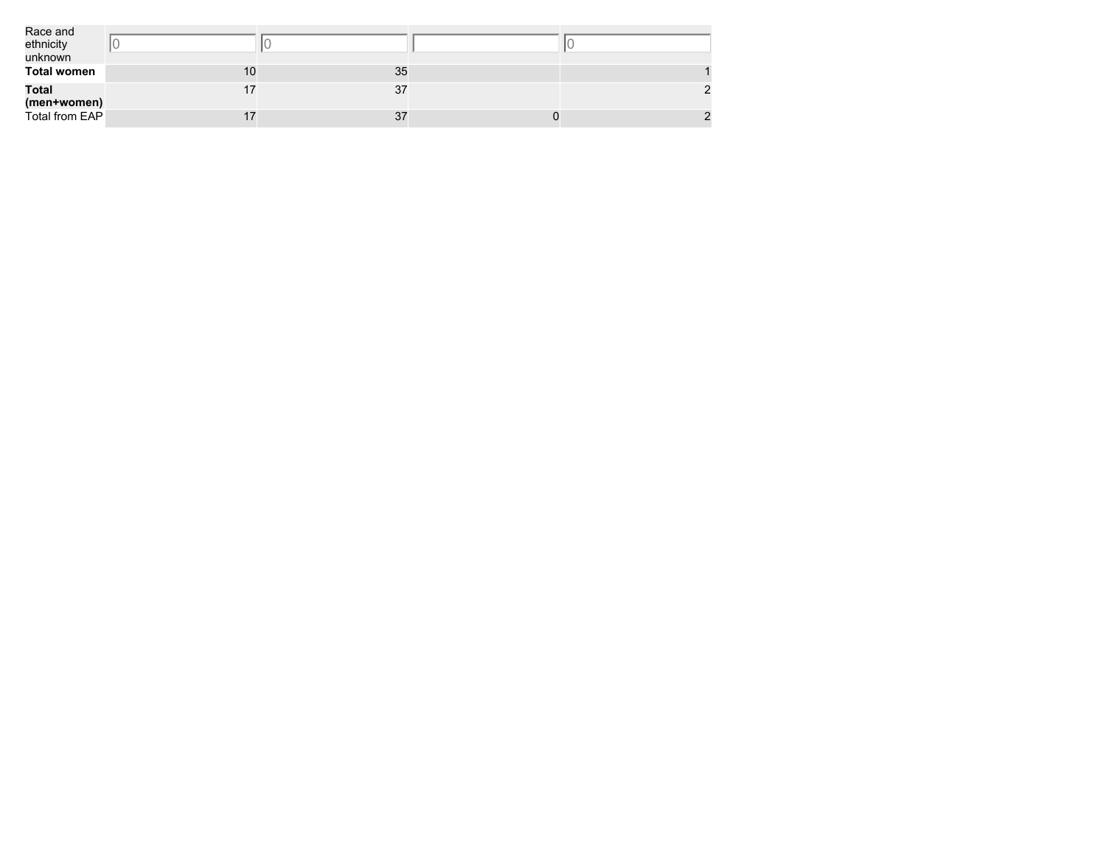| Race and<br>ethnicity<br>unknown |    |    |  |
|----------------------------------|----|----|--|
| <b>Total women</b>               | 10 | 35 |  |
| <b>Total</b><br>(men+women)      |    | 37 |  |
| Total from EAP                   |    | 37 |  |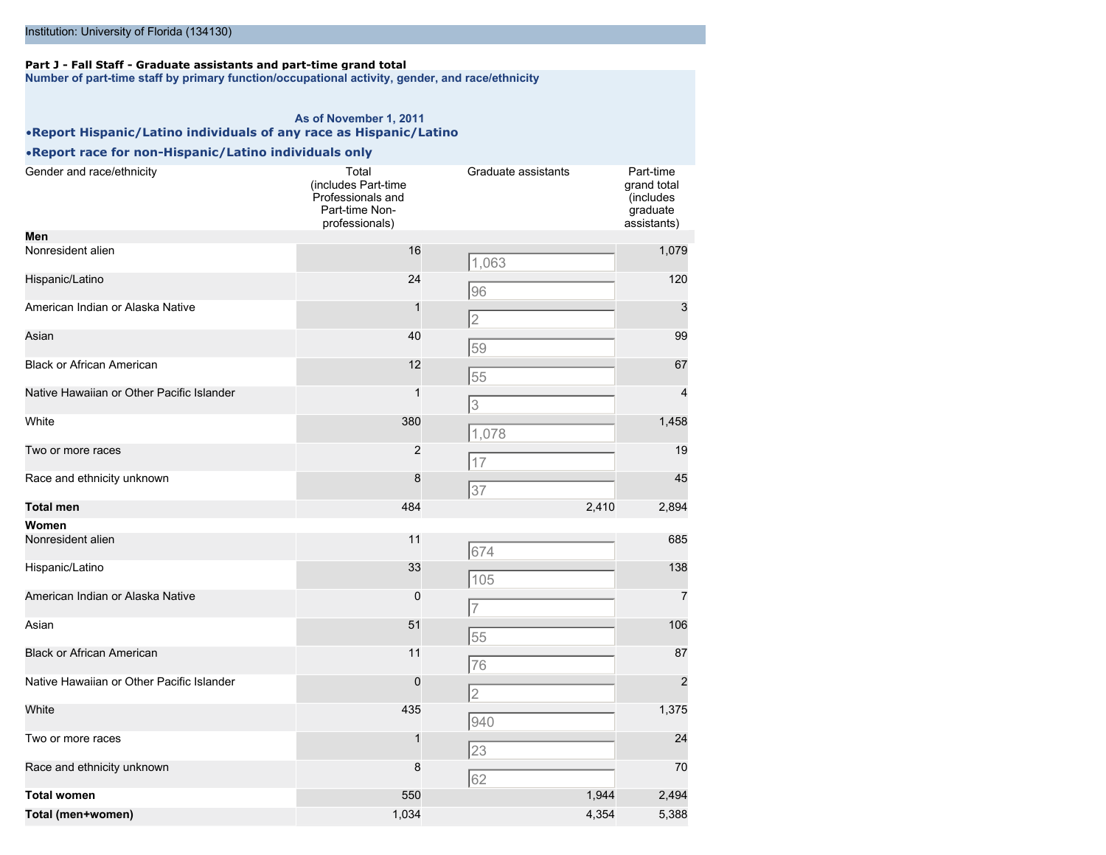### **Part J - Fall Staff - Graduate assistants and part-time grand total**

**Number of part-time staff by primary function/occupational activity, gender, and race/ethnicity**

### **As of November 1, 2011** •**Report Hispanic/Latino individuals of any race as Hispanic/Latino**

| Gender and race/ethnicity                 | Total<br>(includes Part-time<br>Professionals and<br>Part-time Non-<br>professionals) | Graduate assistants | Part-time<br>grand total<br>(includes<br>graduate<br>assistants) |
|-------------------------------------------|---------------------------------------------------------------------------------------|---------------------|------------------------------------------------------------------|
| Men                                       |                                                                                       |                     |                                                                  |
| Nonresident alien                         | 16                                                                                    | 1,063               | 1,079                                                            |
| Hispanic/Latino                           | 24                                                                                    | 96                  | 120                                                              |
| American Indian or Alaska Native          | 1                                                                                     | 2                   | 3                                                                |
| Asian                                     | 40                                                                                    | 59                  | 99                                                               |
| <b>Black or African American</b>          | 12                                                                                    | 55                  | 67                                                               |
| Native Hawaiian or Other Pacific Islander | 1                                                                                     | 3                   | 4                                                                |
| White                                     | 380                                                                                   | 1,078               | 1,458                                                            |
| Two or more races                         | $\overline{c}$                                                                        | 17                  | 19                                                               |
| Race and ethnicity unknown                | 8                                                                                     | 37                  | 45                                                               |
| <b>Total men</b>                          | 484                                                                                   | 2,410               | 2,894                                                            |
| Women                                     |                                                                                       |                     |                                                                  |
| Nonresident alien                         | 11                                                                                    | 674                 | 685                                                              |
| Hispanic/Latino                           | 33                                                                                    | 105                 | 138                                                              |
| American Indian or Alaska Native          | $\mathbf 0$                                                                           | $\overline{7}$      | $\overline{7}$                                                   |
| Asian                                     | 51                                                                                    | 55                  | 106                                                              |
| <b>Black or African American</b>          | 11                                                                                    | 76                  | 87                                                               |
| Native Hawaiian or Other Pacific Islander | 0                                                                                     | 2                   | $\overline{2}$                                                   |
| White                                     | 435                                                                                   | 940                 | 1,375                                                            |
| Two or more races                         | 1                                                                                     | 23                  | 24                                                               |
| Race and ethnicity unknown                | 8                                                                                     | 62                  | 70                                                               |
|                                           |                                                                                       |                     |                                                                  |
| <b>Total women</b>                        | 550                                                                                   | 1,944               | 2,494                                                            |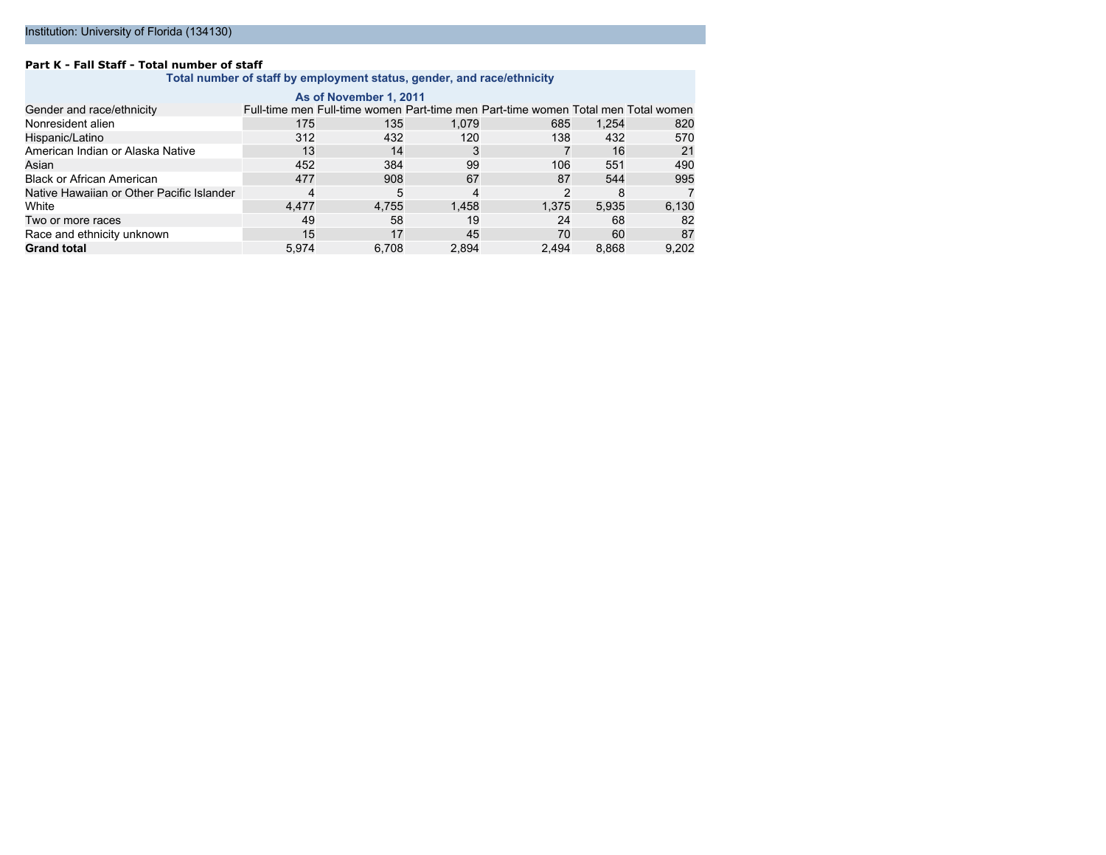#### **Part K - Fall Staff - Total number of staff**

**Total number of staff by employment status, gender, and race/ethnicity**

| As of November 1, 2011                    |       |       |       |                                                                                   |       |       |  |  |
|-------------------------------------------|-------|-------|-------|-----------------------------------------------------------------------------------|-------|-------|--|--|
| Gender and race/ethnicity                 |       |       |       | Full-time men Full-time women Part-time men Part-time women Total men Total women |       |       |  |  |
| Nonresident alien                         | 175   | 135   | 1.079 | 685                                                                               | 1.254 | 820   |  |  |
| Hispanic/Latino                           | 312   | 432   | 120   | 138                                                                               | 432   | 570   |  |  |
| American Indian or Alaska Native          | 13    | 14    | 3     |                                                                                   | 16    | 21    |  |  |
| Asian                                     | 452   | 384   | 99    | 106                                                                               | 551   | 490   |  |  |
| <b>Black or African American</b>          | 477   | 908   | 67    | 87                                                                                | 544   | 995   |  |  |
| Native Hawaiian or Other Pacific Islander |       | 5     | 4     | 2                                                                                 | 8     |       |  |  |
| White                                     | 4.477 | 4.755 | 1.458 | 1.375                                                                             | 5.935 | 6,130 |  |  |
| Two or more races                         | 49    | 58    | 19    | 24                                                                                | 68    | 82    |  |  |
| Race and ethnicity unknown                | 15    | 17    | 45    | 70                                                                                | 60    | 87    |  |  |
| <b>Grand total</b>                        | 5,974 | 6.708 | 2,894 | 2.494                                                                             | 8,868 | 9,202 |  |  |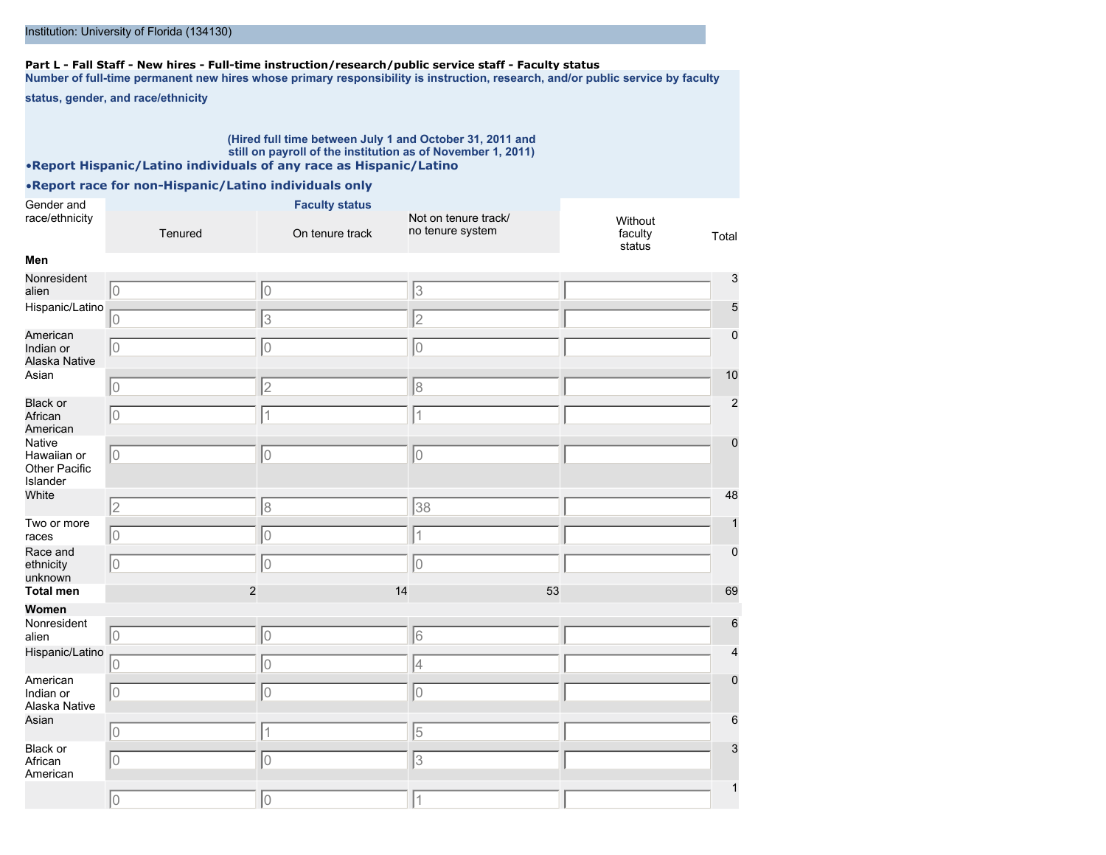### **Part L - Fall Staff - New hires - Full-time instruction/research/public service staff - Faculty status**

**Number of full-time permanent new hires whose primary responsibility is instruction, research, and/or public service by faculty**

**status, gender, and race/ethnicity**

#### **(Hired full time between July 1 and October 31, 2011 and still on payroll of the institution as of November 1, 2011)** •**Report Hispanic/Latino individuals of any race as Hispanic/Latino**

| Gender and                                         |                | <b>Faculty status</b> |                                          |                              |                |
|----------------------------------------------------|----------------|-----------------------|------------------------------------------|------------------------------|----------------|
| race/ethnicity                                     | Tenured        | On tenure track       | Not on tenure track/<br>no tenure system | Without<br>faculty<br>status | Total          |
| Men                                                |                |                       |                                          |                              |                |
| Nonresident<br>alien                               | 10             | 10                    | $\overline{3}$                           |                              | 3              |
| Hispanic/Latino                                    | lo             | 3                     | $\overline{2}$                           |                              | 5              |
| American<br>Indian or<br>Alaska Native             | 10             | 10                    | $\overline{0}$                           |                              | $\mathbf 0$    |
| Asian                                              | 10             | $\overline{2}$        | 8                                        |                              | 10             |
| Black or<br>African<br>American                    | lo             | 1                     | $\vert$ 1                                |                              | $\overline{2}$ |
| Native<br>Hawaiian or<br>Other Pacific<br>Islander | $\overline{0}$ | 10                    | 10                                       |                              | $\mathbf 0$    |
| White                                              | 2              | 8                     | 38                                       |                              | 48             |
| Two or more<br>races                               | $\overline{0}$ | $\overline{0}$        | $\overline{1}$                           |                              |                |
| Race and<br>ethnicity<br>unknown                   | lo             | lo                    | 10                                       |                              | 0              |
| <b>Total men</b>                                   | $\overline{c}$ | 14                    | 53                                       |                              | 69             |
| Women                                              |                |                       |                                          |                              |                |
| Nonresident<br>alien                               | $\vert$ 0      | 10                    | 6                                        |                              | 6              |
| Hispanic/Latino                                    | lo             | $\overline{0}$        | 4                                        |                              |                |
| American<br>Indian or<br>Alaska Native             | 10             | lo                    | 10                                       |                              | $\Omega$       |
| Asian                                              | 10             | $\mathbf 1$           | 5                                        |                              | 6              |
| Black or<br>African<br>American                    | lo             | $\overline{0}$        | 3                                        |                              | 3              |
|                                                    | lo             | 10                    | 1                                        |                              |                |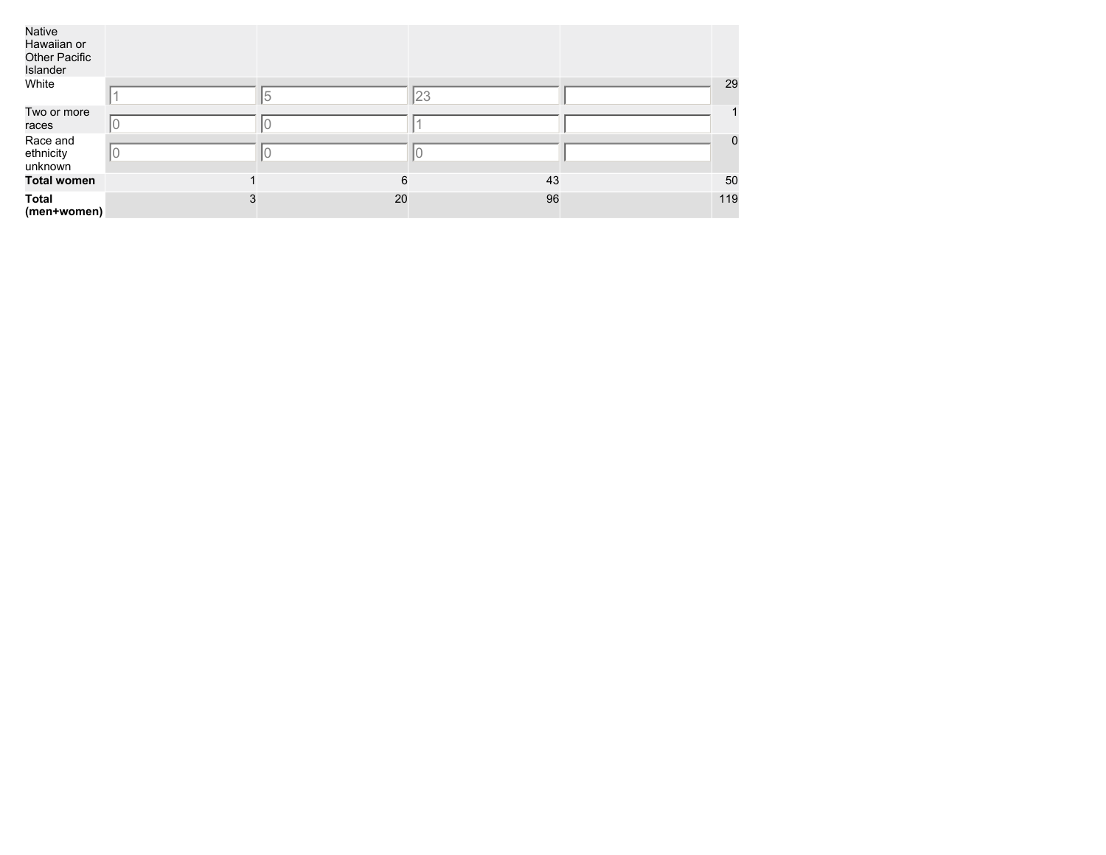| Native<br>Hawaiian or<br><b>Other Pacific</b><br>Islander |   |    |    |     |                |
|-----------------------------------------------------------|---|----|----|-----|----------------|
| White                                                     |   | 5  | 23 |     | 29             |
| Two or more<br>races                                      |   |    |    |     |                |
| Race and<br>ethnicity<br>unknown                          |   |    |    |     | $\overline{0}$ |
| <b>Total women</b>                                        |   | 6  | 43 | 50  |                |
| <b>Total</b><br>(men+women)                               | 3 | 20 | 96 | 119 |                |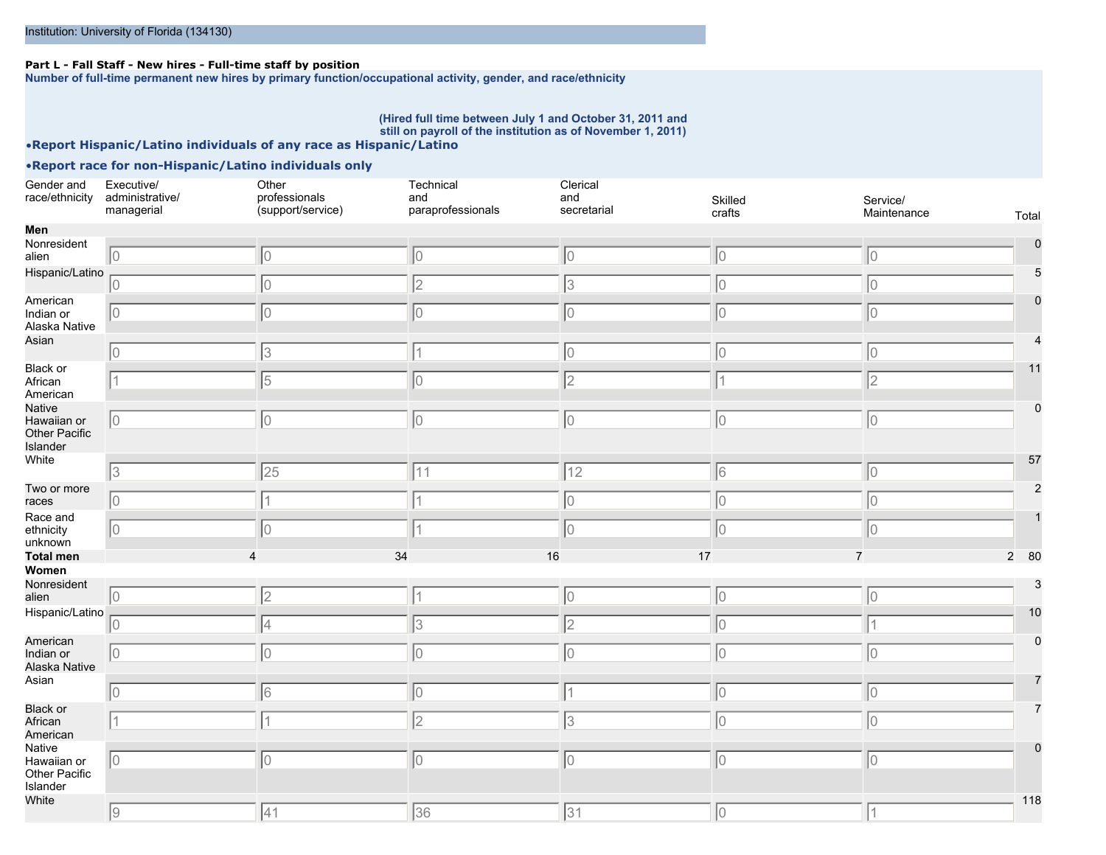### **Part L - Fall Staff - New hires - Full-time staff by position**

**Number of full-time permanent new hires by primary function/occupational activity, gender, and race/ethnicity**

#### **(Hired full time between July 1 and October 31, 2011 and still on payroll of the institution as of November 1, 2011)**

### •**Report Hispanic/Latino individuals of any race as Hispanic/Latino**

| Gender and<br>race/ethnicity                       | Executive/<br>administrative/<br>managerial | Other<br>professionals<br>(support/service) | Technical<br>and<br>paraprofessionals | Clerical<br>and<br>secretarial | Skilled<br>crafts | Service/<br>Maintenance | Total       |
|----------------------------------------------------|---------------------------------------------|---------------------------------------------|---------------------------------------|--------------------------------|-------------------|-------------------------|-------------|
| Men                                                |                                             |                                             |                                       |                                |                   |                         |             |
| Nonresident<br>alien                               | $\vert 0 \vert$                             | 10                                          | $ 0\rangle$                           | 10                             | 10                | 10                      |             |
| Hispanic/Latino                                    | 0                                           | 10                                          | 2                                     | 3                              | 10                | 10                      |             |
| American<br>Indian or<br>Alaska Native             | 10                                          | 10                                          | 10                                    | 10                             | 10                | 10                      |             |
| Asian                                              | 0                                           | 3                                           |                                       | 10                             | 10                | 10                      |             |
| Black or<br>African<br>American                    |                                             | 5                                           | 10                                    | $\sqrt{2}$                     |                   | 2                       | 11          |
| Native<br>Hawaiian or<br>Other Pacific<br>Islander | 10                                          | 10                                          | 10                                    | 10                             | 10                | 10                      | $\mathbf 0$ |
| White                                              | 3                                           | 25                                          | 11                                    | $\sqrt{12}$                    | 6                 | 10                      | 57          |
| Two or more<br>races                               | 10                                          |                                             |                                       | 10                             | IО                | 10                      |             |
| Race and<br>ethnicity<br>unknown                   | 0                                           | 10                                          |                                       | lo.                            | l0                | 10                      |             |
| <b>Total men</b>                                   |                                             |                                             | 34                                    | 16                             | 17                | $\overline{7}$          | 2 80        |
| Women                                              |                                             |                                             |                                       |                                |                   |                         |             |
| Nonresident<br>alien                               | 10                                          | 2                                           |                                       | 10                             | 10                | 10                      |             |
| Hispanic/Latino                                    | 10                                          | 4                                           | 3                                     | $\overline{c}$                 | 10                | 1                       | 10          |
| American<br>Indian or<br>Alaska Native             | 10                                          | 10                                          | 10                                    | Iо                             | lo                | lo                      |             |
| Asian                                              | 10                                          | 16                                          | 10                                    | 1                              | 10                | 10                      |             |
| Black or<br>African<br>American                    |                                             |                                             | 2                                     | 3                              | 10                | Iо                      |             |
| Native<br>Hawaiian or<br>Other Pacific<br>Islander | 10                                          | 0                                           | 10                                    | 0                              | lo                | 10                      |             |
| White                                              | 9                                           | 41                                          | 36                                    | 31                             | $ 0\rangle$       | $\vert$ 1               | 118         |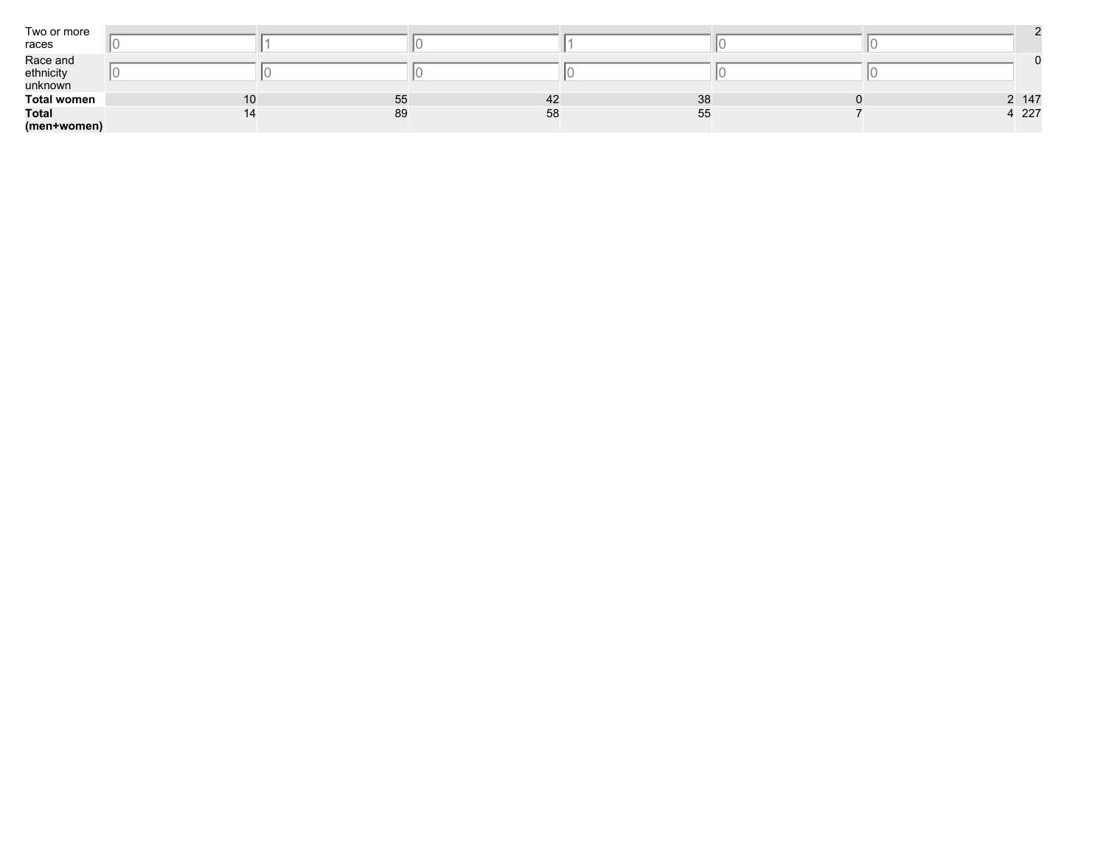| Two or more<br>races             |    |    |    |    |  |       |
|----------------------------------|----|----|----|----|--|-------|
| Race and<br>ethnicity<br>unknown |    |    |    |    |  |       |
| <b>Total women</b>               | 10 | 55 | 42 | 38 |  | 2 147 |
| <b>Total</b>                     | 14 | 89 | 58 | 55 |  | 4 227 |
| (men+women)                      |    |    |    |    |  |       |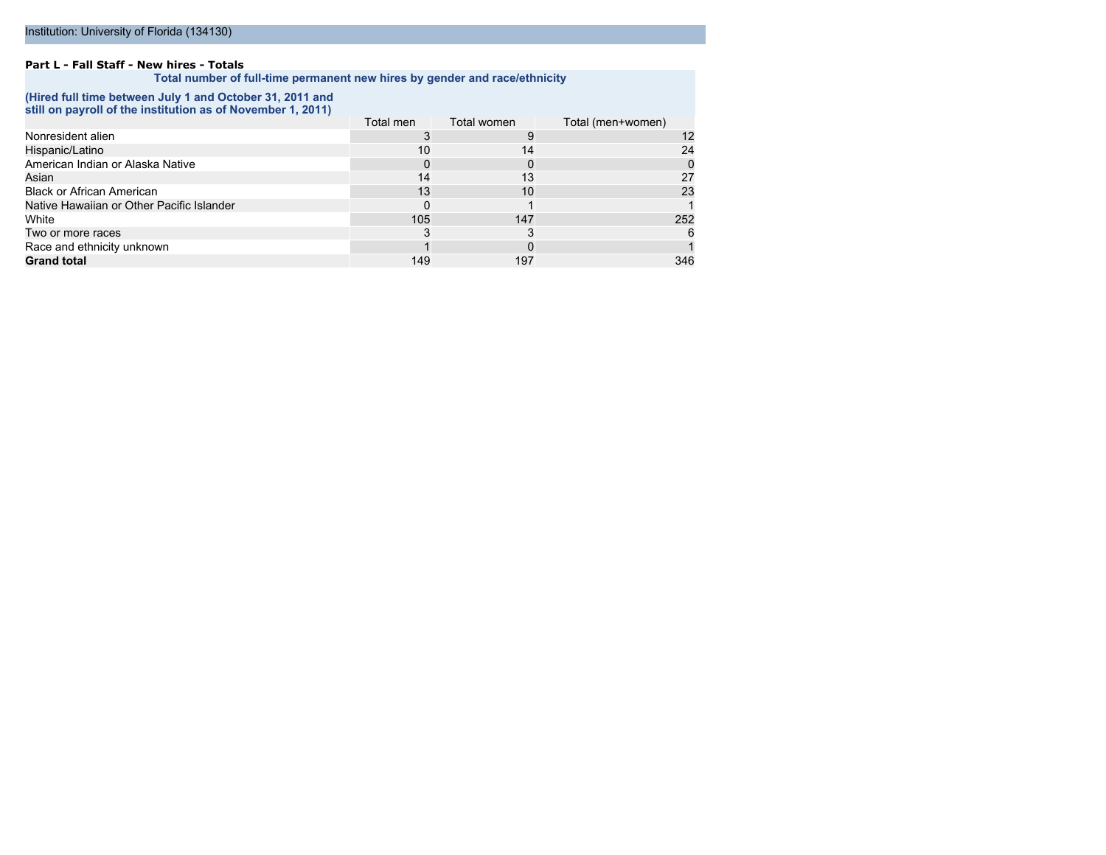#### **Part L - Fall Staff - New hires - Totals**

**Total number of full-time permanent new hires by gender and race/ethnicity**

#### **(Hired full time between July 1 and October 31, 2011 and still on payroll of the institution as of November 1, 2011)**

|                                           | Total men | Total women | Total (men+women) |
|-------------------------------------------|-----------|-------------|-------------------|
| Nonresident alien                         |           |             | 12                |
| Hispanic/Latino                           | 10        | 14          | 24                |
| American Indian or Alaska Native          |           |             |                   |
| Asian                                     | 14        | 13          | 27                |
| <b>Black or African American</b>          | 13        | 10          | 23                |
| Native Hawaiian or Other Pacific Islander |           |             |                   |
| White                                     | 105       | 147         | 252               |
| Two or more races                         |           |             | 6                 |
| Race and ethnicity unknown                |           |             |                   |
| <b>Grand total</b>                        | 149       | 197         | 346               |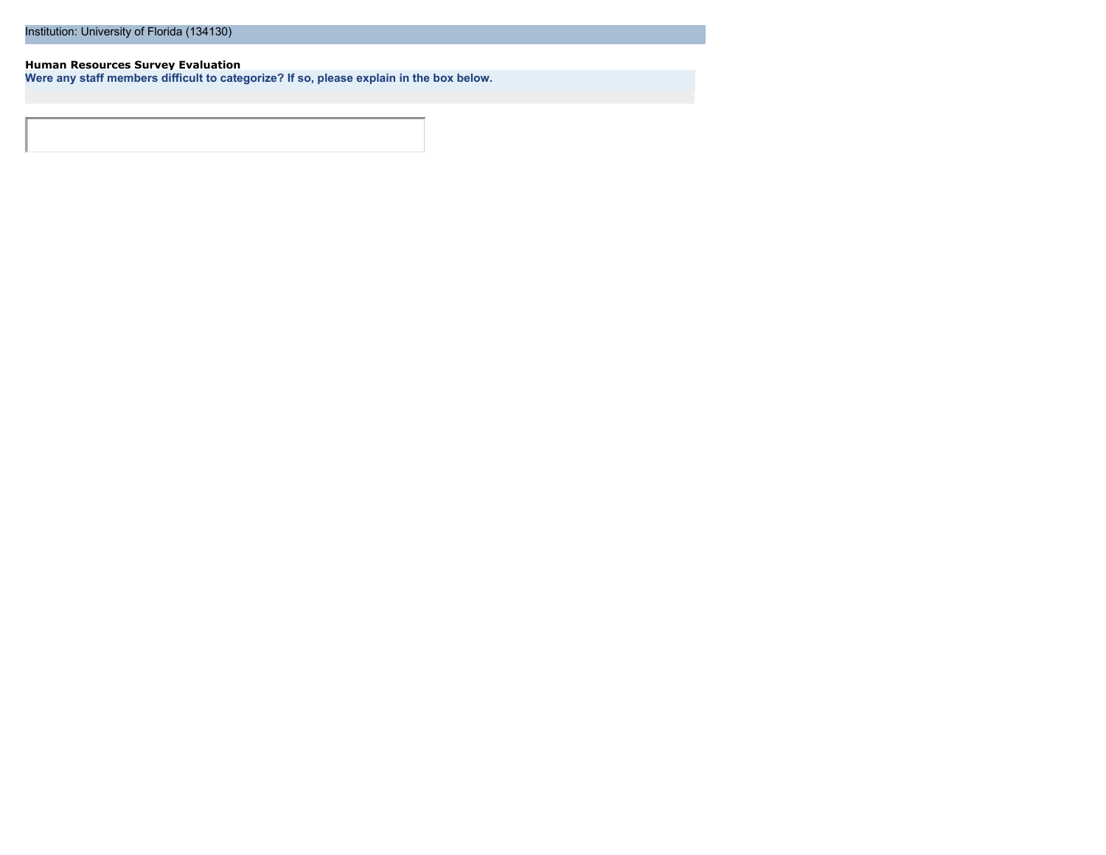#### **Human Resources Survey Evaluation**

**Were any staff members difficult to categorize? If so, please explain in the box below.**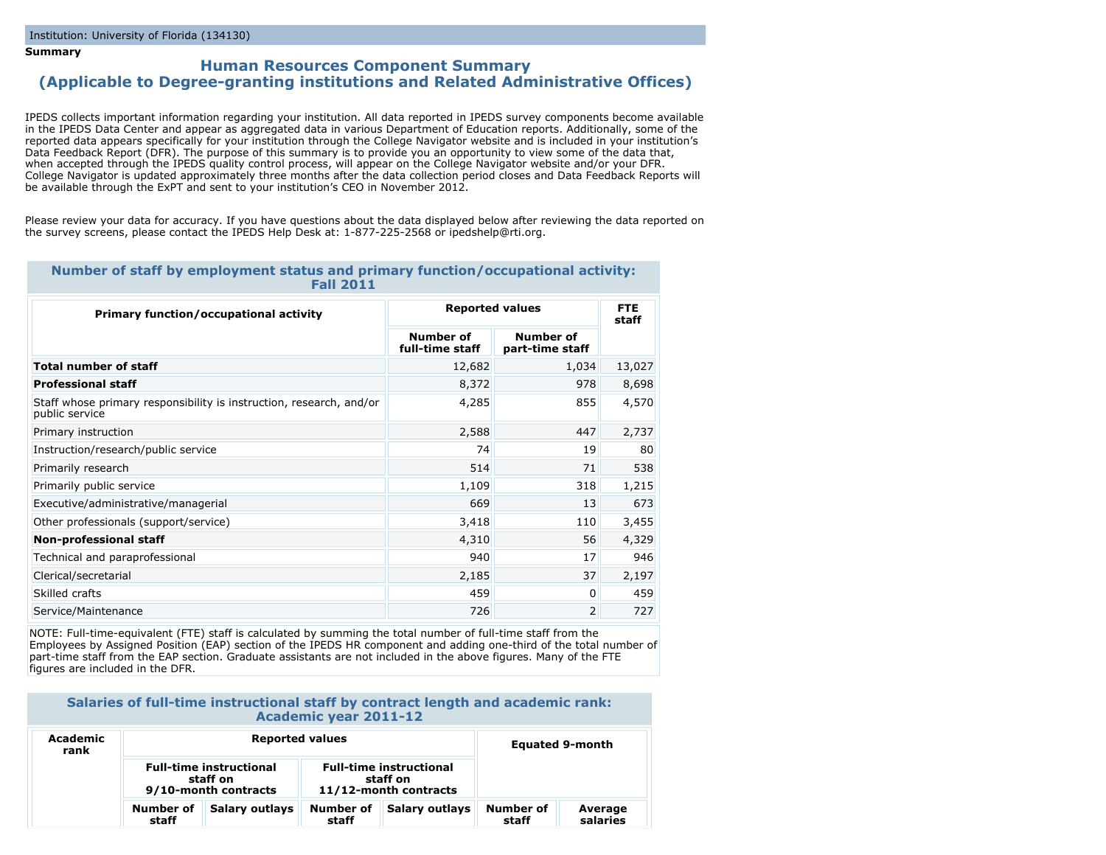#### **Summary**

### **Human Resources Component Summary (Applicable to Degree-granting institutions and Related Administrative Offices)**

IPEDS collects important information regarding your institution. All data reported in IPEDS survey components become available in the IPEDS Data Center and appear as aggregated data in various Department of Education reports. Additionally, some of the reported data appears specifically for your institution through the College Navigator website and is included in your institution's Data Feedback Report (DFR). The purpose of this summary is to provide you an opportunity to view some of the data that, when accepted through the IPEDS quality control process, will appear on the College Navigator website and/or your DFR. College Navigator is updated approximately three months after the data collection period closes and Data Feedback Reports will be available through the ExPT and sent to your institution's CEO in November 2012.

Please review your data for accuracy. If you have questions about the data displayed below after reviewing the data reported on the survey screens, please contact the IPEDS Help Desk at: 1-877-225-2568 or ipedshelp@rti.org.

#### **Number of staff by employment status and primary function/occupational activity: Fall 2011**

| <b>Primary function/occupational activity</b>                                         | <b>Reported values</b>       | <b>FTE</b><br>staff          |        |
|---------------------------------------------------------------------------------------|------------------------------|------------------------------|--------|
|                                                                                       | Number of<br>full-time staff | Number of<br>part-time staff |        |
| <b>Total number of staff</b>                                                          | 12,682                       | 1,034                        | 13,027 |
| <b>Professional staff</b>                                                             | 8,372                        | 978                          | 8,698  |
| Staff whose primary responsibility is instruction, research, and/or<br>public service | 4,285                        | 855                          | 4,570  |
| Primary instruction                                                                   | 2,588                        | 447                          | 2,737  |
| Instruction/research/public service                                                   | 74                           | 19                           | 80     |
| Primarily research                                                                    | 514                          | 71                           | 538    |
| Primarily public service                                                              | 1,109                        | 318                          | 1,215  |
| Executive/administrative/managerial                                                   | 669                          | 13                           | 673    |
| Other professionals (support/service)                                                 | 3,418                        | 110                          | 3,455  |
| Non-professional staff                                                                | 4,310                        | 56                           | 4,329  |
| Technical and paraprofessional                                                        | 940                          | 17                           | 946    |
| Clerical/secretarial                                                                  | 2,185                        | 37                           | 2,197  |
| Skilled crafts                                                                        | 459                          | 0                            | 459    |
| Service/Maintenance                                                                   | 726                          | 2                            | 727    |

NOTE: Full-time-equivalent (FTE) staff is calculated by summing the total number of full-time staff from the Employees by Assigned Position (EAP) section of the IPEDS HR component and adding one-third of the total number of part-time staff from the EAP section. Graduate assistants are not included in the above figures. Many of the FTE figures are included in the DFR.

### **Salaries of full-time instructional staff by contract length and academic rank: Academic year 2011-12**

| Academic<br>rank | <b>Reported values</b>                                             |                |                                                                     |                | <b>Equated 9-month</b> |                     |
|------------------|--------------------------------------------------------------------|----------------|---------------------------------------------------------------------|----------------|------------------------|---------------------|
|                  | <b>Full-time instructional</b><br>staff on<br>9/10-month contracts |                | <b>Full-time instructional</b><br>staff on<br>11/12-month contracts |                |                        |                     |
|                  | Number of<br>staff                                                 | Salary outlays | Number of<br>staff                                                  | Salary outlays | Number of<br>staff     | Average<br>salaries |